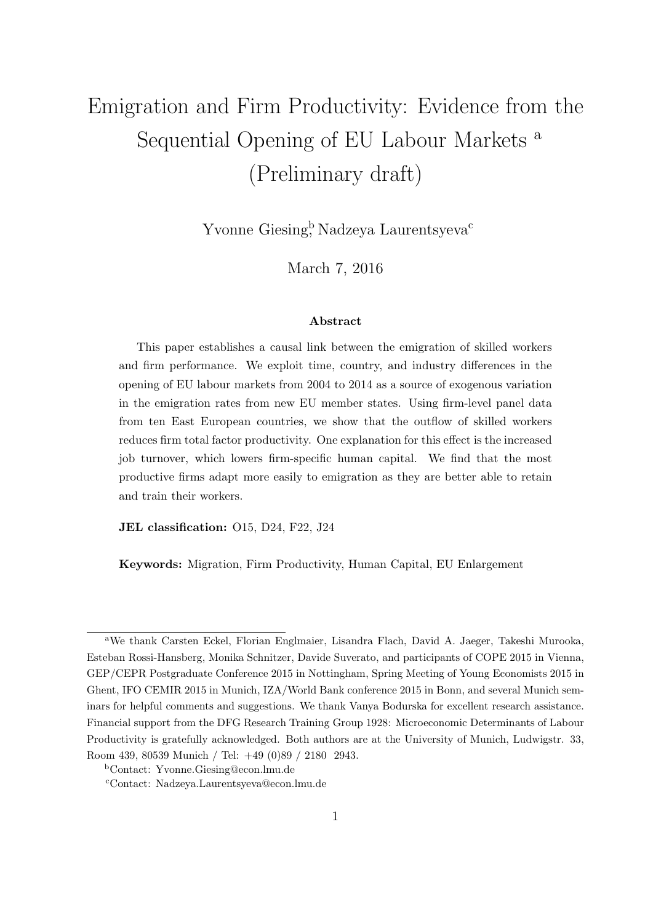# Emigration and Firm Productivity: Evidence from the Sequential Opening of EU Labour Markets <sup>a</sup> (Preliminary draft)

Yvonne Giesing<sup>b</sup>, Nadzeya Laurentsyeva<sup>c</sup>

March 7, 2016

#### Abstract

This paper establishes a causal link between the emigration of skilled workers and firm performance. We exploit time, country, and industry differences in the opening of EU labour markets from 2004 to 2014 as a source of exogenous variation in the emigration rates from new EU member states. Using firm-level panel data from ten East European countries, we show that the outflow of skilled workers reduces firm total factor productivity. One explanation for this effect is the increased job turnover, which lowers firm-specific human capital. We find that the most productive firms adapt more easily to emigration as they are better able to retain and train their workers.

JEL classification: O15, D24, F22, J24

Keywords: Migration, Firm Productivity, Human Capital, EU Enlargement

<sup>a</sup>We thank Carsten Eckel, Florian Englmaier, Lisandra Flach, David A. Jaeger, Takeshi Murooka, Esteban Rossi-Hansberg, Monika Schnitzer, Davide Suverato, and participants of COPE 2015 in Vienna, GEP/CEPR Postgraduate Conference 2015 in Nottingham, Spring Meeting of Young Economists 2015 in Ghent, IFO CEMIR 2015 in Munich, IZA/World Bank conference 2015 in Bonn, and several Munich seminars for helpful comments and suggestions. We thank Vanya Bodurska for excellent research assistance. Financial support from the DFG Research Training Group 1928: Microeconomic Determinants of Labour Productivity is gratefully acknowledged. Both authors are at the University of Munich, Ludwigstr. 33, Room 439, 80539 Munich / Tel: +49 (0)89 / 2180 2943.

<sup>b</sup>Contact: Yvonne.Giesing@econ.lmu.de

<sup>c</sup>Contact: Nadzeya.Laurentsyeva@econ.lmu.de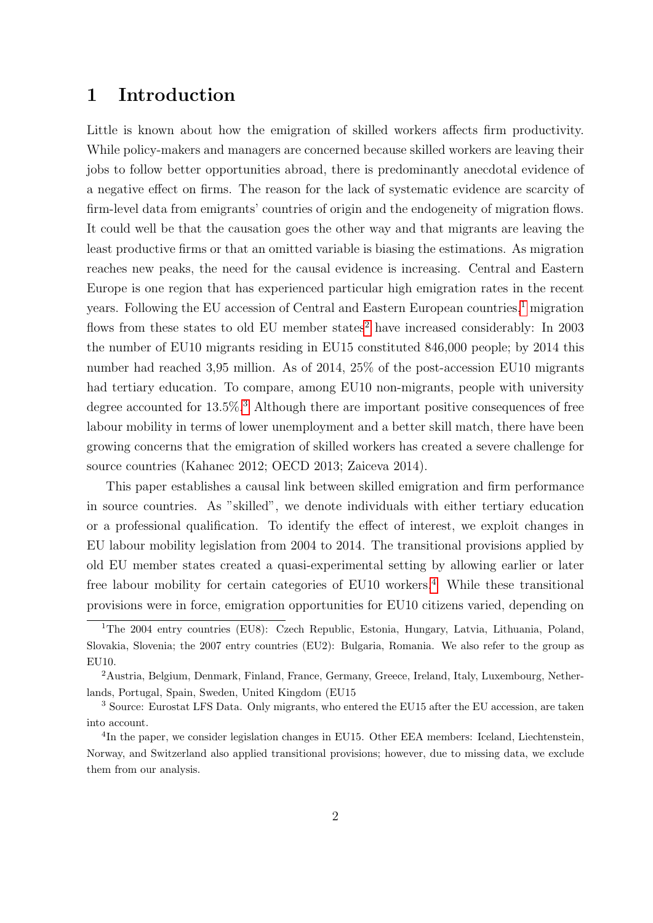# 1 Introduction

Little is known about how the emigration of skilled workers affects firm productivity. While policy-makers and managers are concerned because skilled workers are leaving their jobs to follow better opportunities abroad, there is predominantly anecdotal evidence of a negative effect on firms. The reason for the lack of systematic evidence are scarcity of firm-level data from emigrants' countries of origin and the endogeneity of migration flows. It could well be that the causation goes the other way and that migrants are leaving the least productive firms or that an omitted variable is biasing the estimations. As migration reaches new peaks, the need for the causal evidence is increasing. Central and Eastern Europe is one region that has experienced particular high emigration rates in the recent years. Following the EU accession of Central and Eastern European countries,<sup>[1](#page-1-0)</sup> migration flows from these states to old EU member states<sup>[2](#page-1-1)</sup> have increased considerably: In  $2003$ the number of EU10 migrants residing in EU15 constituted 846,000 people; by 2014 this number had reached 3,95 million. As of 2014, 25% of the post-accession EU10 migrants had tertiary education. To compare, among EU10 non-migrants, people with university degree accounted for  $13.5\%$  $13.5\%$  $13.5\%$ <sup>3</sup>. Although there are important positive consequences of free labour mobility in terms of lower unemployment and a better skill match, there have been growing concerns that the emigration of skilled workers has created a severe challenge for source countries (Kahanec 2012; OECD 2013; Zaiceva 2014).

This paper establishes a causal link between skilled emigration and firm performance in source countries. As "skilled", we denote individuals with either tertiary education or a professional qualification. To identify the effect of interest, we exploit changes in EU labour mobility legislation from 2004 to 2014. The transitional provisions applied by old EU member states created a quasi-experimental setting by allowing earlier or later free labour mobility for certain categories of EU10 workers.<sup>[4](#page-1-3)</sup> While these transitional provisions were in force, emigration opportunities for EU10 citizens varied, depending on

<span id="page-1-0"></span><sup>&</sup>lt;sup>1</sup>The 2004 entry countries (EU8): Czech Republic, Estonia, Hungary, Latvia, Lithuania, Poland, Slovakia, Slovenia; the 2007 entry countries (EU2): Bulgaria, Romania. We also refer to the group as EU10.

<span id="page-1-1"></span><sup>2</sup>Austria, Belgium, Denmark, Finland, France, Germany, Greece, Ireland, Italy, Luxembourg, Netherlands, Portugal, Spain, Sweden, United Kingdom (EU15

<span id="page-1-2"></span><sup>&</sup>lt;sup>3</sup> Source: Eurostat LFS Data. Only migrants, who entered the EU15 after the EU accession, are taken into account.

<span id="page-1-3"></span><sup>&</sup>lt;sup>4</sup>In the paper, we consider legislation changes in EU15. Other EEA members: Iceland, Liechtenstein, Norway, and Switzerland also applied transitional provisions; however, due to missing data, we exclude them from our analysis.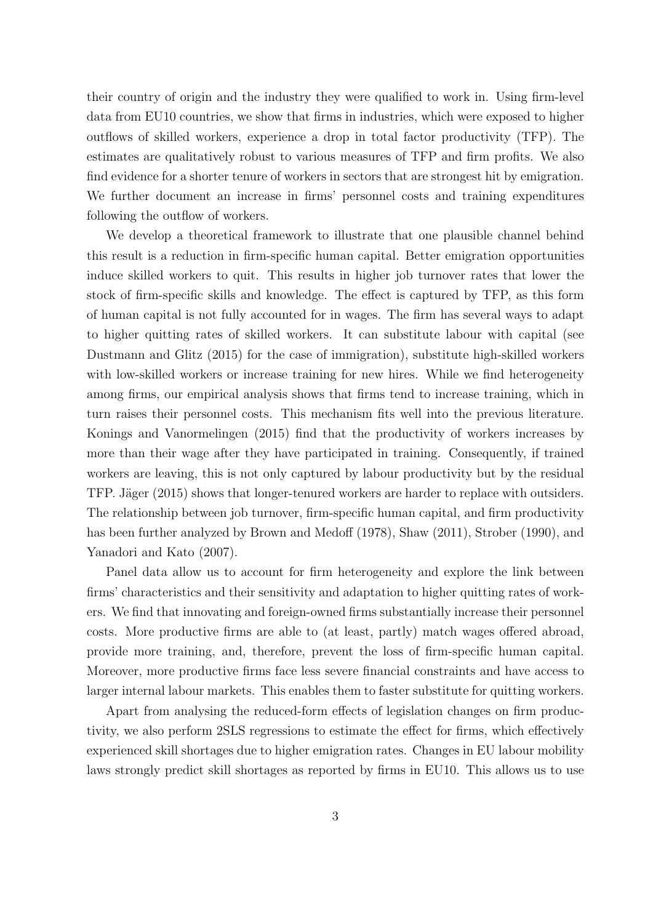their country of origin and the industry they were qualified to work in. Using firm-level data from EU10 countries, we show that firms in industries, which were exposed to higher outflows of skilled workers, experience a drop in total factor productivity (TFP). The estimates are qualitatively robust to various measures of TFP and firm profits. We also find evidence for a shorter tenure of workers in sectors that are strongest hit by emigration. We further document an increase in firms' personnel costs and training expenditures following the outflow of workers.

We develop a theoretical framework to illustrate that one plausible channel behind this result is a reduction in firm-specific human capital. Better emigration opportunities induce skilled workers to quit. This results in higher job turnover rates that lower the stock of firm-specific skills and knowledge. The effect is captured by TFP, as this form of human capital is not fully accounted for in wages. The firm has several ways to adapt to higher quitting rates of skilled workers. It can substitute labour with capital (see Dustmann and Glitz (2015) for the case of immigration), substitute high-skilled workers with low-skilled workers or increase training for new hires. While we find heterogeneity among firms, our empirical analysis shows that firms tend to increase training, which in turn raises their personnel costs. This mechanism fits well into the previous literature. Konings and Vanormelingen (2015) find that the productivity of workers increases by more than their wage after they have participated in training. Consequently, if trained workers are leaving, this is not only captured by labour productivity but by the residual TFP. Jäger (2015) shows that longer-tenured workers are harder to replace with outsiders. The relationship between job turnover, firm-specific human capital, and firm productivity has been further analyzed by Brown and Medoff (1978), Shaw (2011), Strober (1990), and Yanadori and Kato (2007).

Panel data allow us to account for firm heterogeneity and explore the link between firms' characteristics and their sensitivity and adaptation to higher quitting rates of workers. We find that innovating and foreign-owned firms substantially increase their personnel costs. More productive firms are able to (at least, partly) match wages offered abroad, provide more training, and, therefore, prevent the loss of firm-specific human capital. Moreover, more productive firms face less severe financial constraints and have access to larger internal labour markets. This enables them to faster substitute for quitting workers.

Apart from analysing the reduced-form effects of legislation changes on firm productivity, we also perform 2SLS regressions to estimate the effect for firms, which effectively experienced skill shortages due to higher emigration rates. Changes in EU labour mobility laws strongly predict skill shortages as reported by firms in EU10. This allows us to use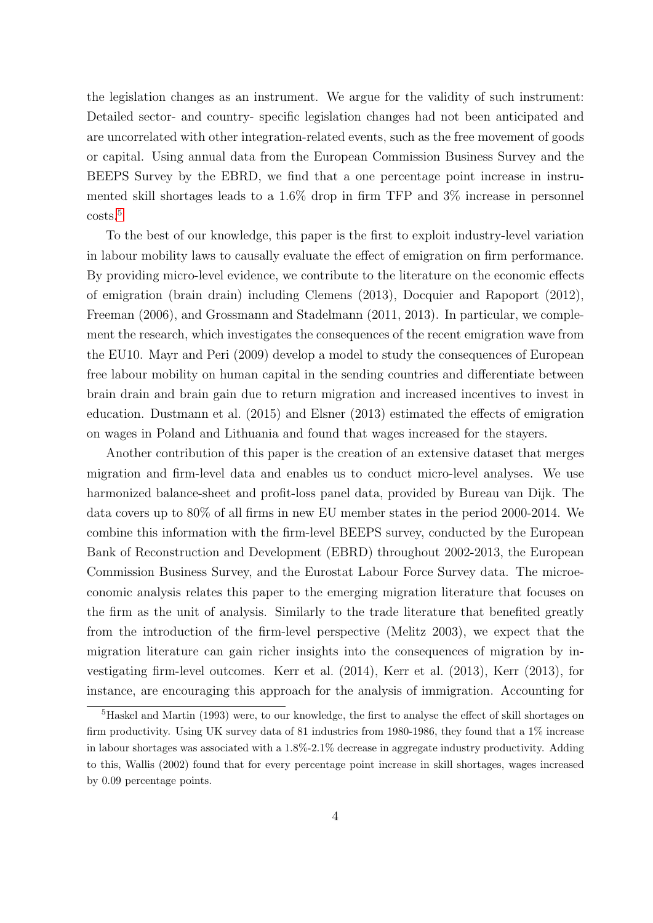the legislation changes as an instrument. We argue for the validity of such instrument: Detailed sector- and country- specific legislation changes had not been anticipated and are uncorrelated with other integration-related events, such as the free movement of goods or capital. Using annual data from the European Commission Business Survey and the BEEPS Survey by the EBRD, we find that a one percentage point increase in instrumented skill shortages leads to a 1.6% drop in firm TFP and 3% increase in personnel costs.[5](#page-3-0)

To the best of our knowledge, this paper is the first to exploit industry-level variation in labour mobility laws to causally evaluate the effect of emigration on firm performance. By providing micro-level evidence, we contribute to the literature on the economic effects of emigration (brain drain) including Clemens (2013), Docquier and Rapoport (2012), Freeman (2006), and Grossmann and Stadelmann (2011, 2013). In particular, we complement the research, which investigates the consequences of the recent emigration wave from the EU10. Mayr and Peri (2009) develop a model to study the consequences of European free labour mobility on human capital in the sending countries and differentiate between brain drain and brain gain due to return migration and increased incentives to invest in education. Dustmann et al. (2015) and Elsner (2013) estimated the effects of emigration on wages in Poland and Lithuania and found that wages increased for the stayers.

Another contribution of this paper is the creation of an extensive dataset that merges migration and firm-level data and enables us to conduct micro-level analyses. We use harmonized balance-sheet and profit-loss panel data, provided by Bureau van Dijk. The data covers up to 80% of all firms in new EU member states in the period 2000-2014. We combine this information with the firm-level BEEPS survey, conducted by the European Bank of Reconstruction and Development (EBRD) throughout 2002-2013, the European Commission Business Survey, and the Eurostat Labour Force Survey data. The microeconomic analysis relates this paper to the emerging migration literature that focuses on the firm as the unit of analysis. Similarly to the trade literature that benefited greatly from the introduction of the firm-level perspective (Melitz 2003), we expect that the migration literature can gain richer insights into the consequences of migration by investigating firm-level outcomes. Kerr et al. (2014), Kerr et al. (2013), Kerr (2013), for instance, are encouraging this approach for the analysis of immigration. Accounting for

<span id="page-3-0"></span><sup>&</sup>lt;sup>5</sup>Haskel and Martin (1993) were, to our knowledge, the first to analyse the effect of skill shortages on firm productivity. Using UK survey data of 81 industries from 1980-1986, they found that a 1% increase in labour shortages was associated with a 1.8%-2.1% decrease in aggregate industry productivity. Adding to this, Wallis (2002) found that for every percentage point increase in skill shortages, wages increased by 0.09 percentage points.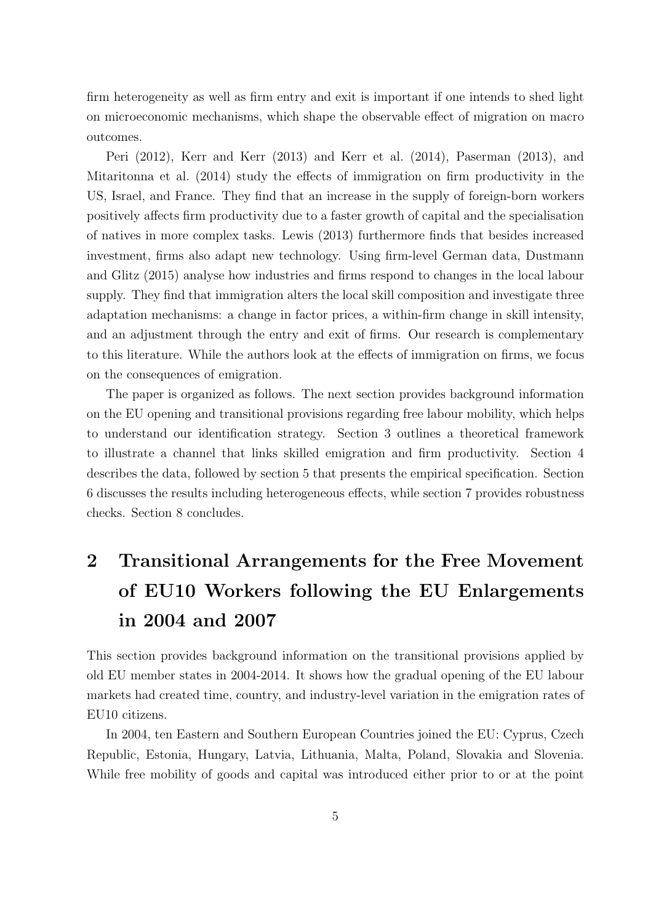firm heterogeneity as well as firm entry and exit is important if one intends to shed light on microeconomic mechanisms, which shape the observable effect of migration on macro outcomes.

Peri (2012), Kerr and Kerr (2013) and Kerr et al. (2014), Paserman (2013), and Mitaritonna et al. (2014) study the effects of immigration on firm productivity in the US, Israel, and France. They find that an increase in the supply of foreign-born workers positively affects firm productivity due to a faster growth of capital and the specialisation of natives in more complex tasks. Lewis (2013) furthermore finds that besides increased investment, firms also adapt new technology. Using firm-level German data, Dustmann and Glitz (2015) analyse how industries and firms respond to changes in the local labour supply. They find that immigration alters the local skill composition and investigate three adaptation mechanisms: a change in factor prices, a within-firm change in skill intensity, and an adjustment through the entry and exit of firms. Our research is complementary to this literature. While the authors look at the effects of immigration on firms, we focus on the consequences of emigration.

The paper is organized as follows. The next section provides background information on the EU opening and transitional provisions regarding free labour mobility, which helps to understand our identification strategy. Section 3 outlines a theoretical framework to illustrate a channel that links skilled emigration and firm productivity. Section 4 describes the data, followed by section 5 that presents the empirical specification. Section 6 discusses the results including heterogeneous effects, while section 7 provides robustness checks. Section 8 concludes.

# 2 Transitional Arrangements for the Free Movement of EU10 Workers following the EU Enlargements in 2004 and 2007

This section provides background information on the transitional provisions applied by old EU member states in 2004-2014. It shows how the gradual opening of the EU labour markets had created time, country, and industry-level variation in the emigration rates of EU10 citizens.

In 2004, ten Eastern and Southern European Countries joined the EU: Cyprus, Czech Republic, Estonia, Hungary, Latvia, Lithuania, Malta, Poland, Slovakia and Slovenia. While free mobility of goods and capital was introduced either prior to or at the point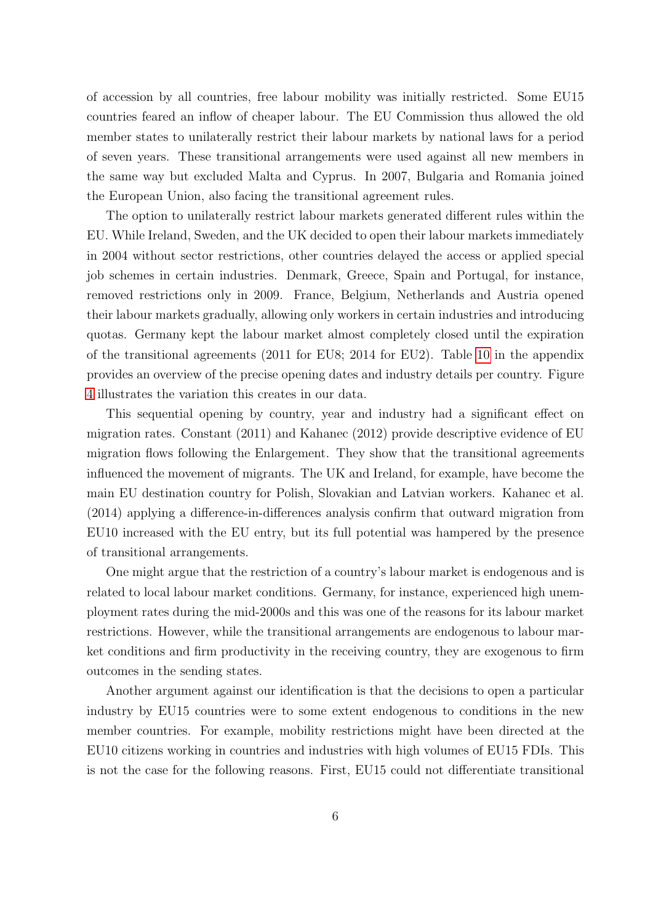of accession by all countries, free labour mobility was initially restricted. Some EU15 countries feared an inflow of cheaper labour. The EU Commission thus allowed the old member states to unilaterally restrict their labour markets by national laws for a period of seven years. These transitional arrangements were used against all new members in the same way but excluded Malta and Cyprus. In 2007, Bulgaria and Romania joined the European Union, also facing the transitional agreement rules.

The option to unilaterally restrict labour markets generated different rules within the EU. While Ireland, Sweden, and the UK decided to open their labour markets immediately in 2004 without sector restrictions, other countries delayed the access or applied special job schemes in certain industries. Denmark, Greece, Spain and Portugal, for instance, removed restrictions only in 2009. France, Belgium, Netherlands and Austria opened their labour markets gradually, allowing only workers in certain industries and introducing quotas. Germany kept the labour market almost completely closed until the expiration of the transitional agreements (2011 for EU8; 2014 for EU2). Table [10](#page-41-0) in the appendix provides an overview of the precise opening dates and industry details per country. Figure [4](#page-31-0) illustrates the variation this creates in our data.

This sequential opening by country, year and industry had a significant effect on migration rates. Constant (2011) and Kahanec (2012) provide descriptive evidence of EU migration flows following the Enlargement. They show that the transitional agreements influenced the movement of migrants. The UK and Ireland, for example, have become the main EU destination country for Polish, Slovakian and Latvian workers. Kahanec et al. (2014) applying a difference-in-differences analysis confirm that outward migration from EU10 increased with the EU entry, but its full potential was hampered by the presence of transitional arrangements.

One might argue that the restriction of a country's labour market is endogenous and is related to local labour market conditions. Germany, for instance, experienced high unemployment rates during the mid-2000s and this was one of the reasons for its labour market restrictions. However, while the transitional arrangements are endogenous to labour market conditions and firm productivity in the receiving country, they are exogenous to firm outcomes in the sending states.

Another argument against our identification is that the decisions to open a particular industry by EU15 countries were to some extent endogenous to conditions in the new member countries. For example, mobility restrictions might have been directed at the EU10 citizens working in countries and industries with high volumes of EU15 FDIs. This is not the case for the following reasons. First, EU15 could not differentiate transitional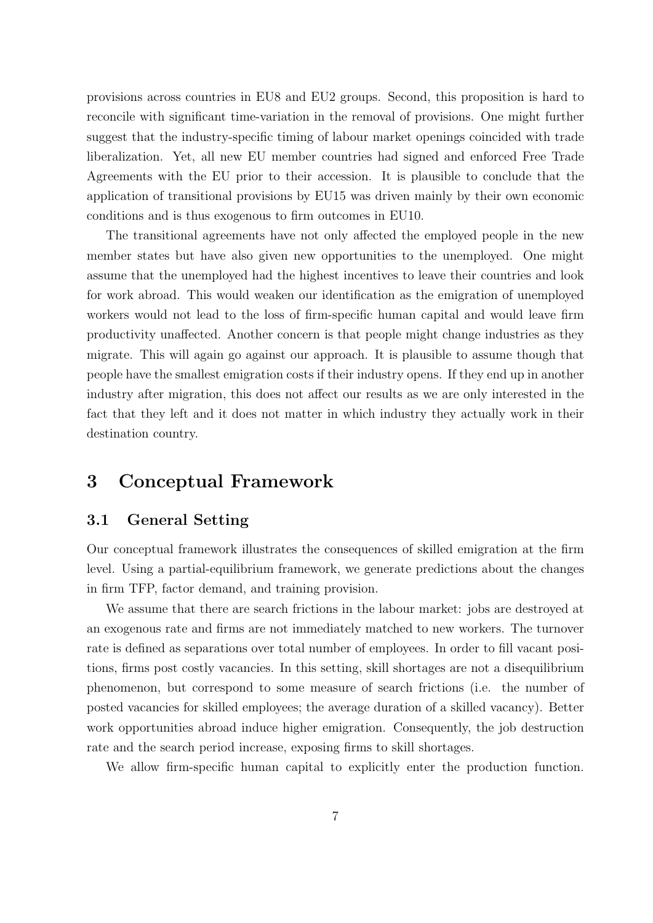provisions across countries in EU8 and EU2 groups. Second, this proposition is hard to reconcile with significant time-variation in the removal of provisions. One might further suggest that the industry-specific timing of labour market openings coincided with trade liberalization. Yet, all new EU member countries had signed and enforced Free Trade Agreements with the EU prior to their accession. It is plausible to conclude that the application of transitional provisions by EU15 was driven mainly by their own economic conditions and is thus exogenous to firm outcomes in EU10.

The transitional agreements have not only affected the employed people in the new member states but have also given new opportunities to the unemployed. One might assume that the unemployed had the highest incentives to leave their countries and look for work abroad. This would weaken our identification as the emigration of unemployed workers would not lead to the loss of firm-specific human capital and would leave firm productivity unaffected. Another concern is that people might change industries as they migrate. This will again go against our approach. It is plausible to assume though that people have the smallest emigration costs if their industry opens. If they end up in another industry after migration, this does not affect our results as we are only interested in the fact that they left and it does not matter in which industry they actually work in their destination country.

# 3 Conceptual Framework

#### 3.1 General Setting

Our conceptual framework illustrates the consequences of skilled emigration at the firm level. Using a partial-equilibrium framework, we generate predictions about the changes in firm TFP, factor demand, and training provision.

We assume that there are search frictions in the labour market: jobs are destroyed at an exogenous rate and firms are not immediately matched to new workers. The turnover rate is defined as separations over total number of employees. In order to fill vacant positions, firms post costly vacancies. In this setting, skill shortages are not a disequilibrium phenomenon, but correspond to some measure of search frictions (i.e. the number of posted vacancies for skilled employees; the average duration of a skilled vacancy). Better work opportunities abroad induce higher emigration. Consequently, the job destruction rate and the search period increase, exposing firms to skill shortages.

We allow firm-specific human capital to explicitly enter the production function.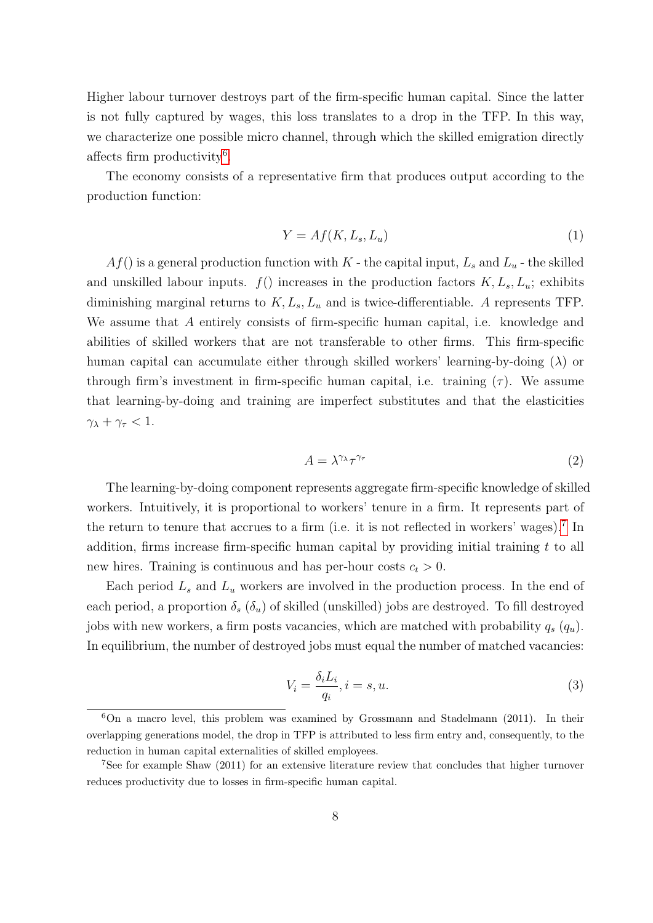Higher labour turnover destroys part of the firm-specific human capital. Since the latter is not fully captured by wages, this loss translates to a drop in the TFP. In this way, we characterize one possible micro channel, through which the skilled emigration directly affects firm productivity<sup>[6](#page-7-0)</sup>.

The economy consists of a representative firm that produces output according to the production function:

$$
Y = Af(K, L_s, L_u) \tag{1}
$$

 $Af()$  is a general production function with  $K$  - the capital input,  $L_s$  and  $L_u$  - the skilled and unskilled labour inputs.  $f()$  increases in the production factors  $K, L_s, L_u$ ; exhibits diminishing marginal returns to  $K, L_s, L_u$  and is twice-differentiable. A represents TFP. We assume that A entirely consists of firm-specific human capital, i.e. knowledge and abilities of skilled workers that are not transferable to other firms. This firm-specific human capital can accumulate either through skilled workers' learning-by-doing  $(\lambda)$  or through firm's investment in firm-specific human capital, i.e. training  $(\tau)$ . We assume that learning-by-doing and training are imperfect substitutes and that the elasticities  $\gamma_{\lambda} + \gamma_{\tau} < 1.$ 

<span id="page-7-2"></span>
$$
A = \lambda^{\gamma_\lambda} \tau^{\gamma_\tau} \tag{2}
$$

The learning-by-doing component represents aggregate firm-specific knowledge of skilled workers. Intuitively, it is proportional to workers' tenure in a firm. It represents part of the return to tenure that accrues to a firm (i.e. it is not reflected in workers' wages).<sup>[7](#page-7-1)</sup> In addition, firms increase firm-specific human capital by providing initial training  $t$  to all new hires. Training is continuous and has per-hour costs  $c_t > 0$ .

Each period  $L_s$  and  $L_u$  workers are involved in the production process. In the end of each period, a proportion  $\delta_s$  ( $\delta_u$ ) of skilled (unskilled) jobs are destroyed. To fill destroyed jobs with new workers, a firm posts vacancies, which are matched with probability  $q_s(q_u)$ . In equilibrium, the number of destroyed jobs must equal the number of matched vacancies:

$$
V_i = \frac{\delta_i L_i}{q_i}, i = s, u.
$$
\n<sup>(3)</sup>

<span id="page-7-0"></span><sup>6</sup>On a macro level, this problem was examined by Grossmann and Stadelmann (2011). In their overlapping generations model, the drop in TFP is attributed to less firm entry and, consequently, to the reduction in human capital externalities of skilled employees.

<span id="page-7-1"></span><sup>7</sup>See for example Shaw (2011) for an extensive literature review that concludes that higher turnover reduces productivity due to losses in firm-specific human capital.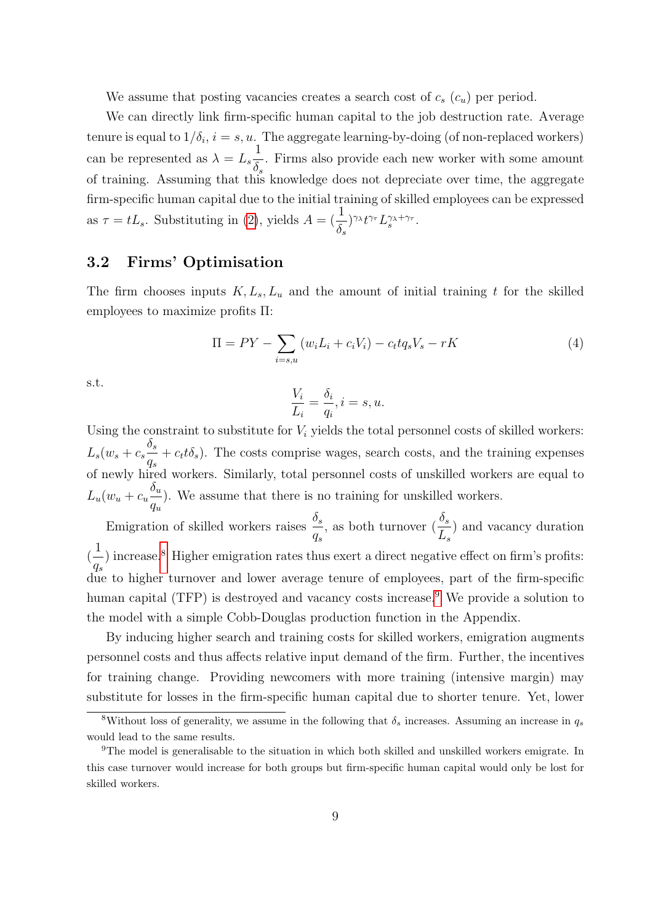We assume that posting vacancies creates a search cost of  $c_s$   $(c_u)$  per period.

We can directly link firm-specific human capital to the job destruction rate. Average tenure is equal to  $1/\delta_i$ ,  $i = s, u$ . The aggregate learning-by-doing (of non-replaced workers) can be represented as  $\lambda = L_s$ 1  $\delta_s$ . Firms also provide each new worker with some amount of training. Assuming that this knowledge does not depreciate over time, the aggregate firm-specific human capital due to the initial training of skilled employees can be expressed as  $\tau = tL_s$ . Substituting in [\(2\)](#page-7-2), yields  $A = (\frac{1}{s})$  $\delta_s$  $)^{\gamma_{\lambda}}t^{\gamma_{\tau}}L_{s}^{\gamma_{\lambda}+\gamma_{\tau}}.$ 

#### 3.2 Firms' Optimisation

The firm chooses inputs  $K, L_s, L_u$  and the amount of initial training t for the skilled employees to maximize profits Π:

$$
\Pi = PY - \sum_{i=s,u} (w_i L_i + c_i V_i) - c_t t q_s V_s - rK
$$
\n(4)

s.t.

$$
\frac{V_i}{L_i} = \frac{\delta_i}{q_i}, i = s, u.
$$

Using the constraint to substitute for  $V_i$  yields the total personnel costs of skilled workers:  $L_s(w_s+c_s$  $\delta_s$  $q_s$  $+ c_t t \delta_s$ ). The costs comprise wages, search costs, and the training expenses of newly hired workers. Similarly, total personnel costs of unskilled workers are equal to  $L_u(w_u + c_u$  $\delta_u$  $q_u$ ). We assume that there is no training for unskilled workers.

Emigration of skilled workers raises  $\frac{\delta_s}{\delta_s}$  $q_s$ , as both turnover  $(\frac{\delta_s}{\sigma_s})$  $L_s$ ) and vacancy duration ( 1  $q_s$ ) increase.<sup>[8](#page-8-0)</sup> Higher emigration rates thus exert a direct negative effect on firm's profits: due to higher turnover and lower average tenure of employees, part of the firm-specific human capital (TFP) is destroyed and vacancy costs increase.<sup>[9](#page-8-1)</sup> We provide a solution to the model with a simple Cobb-Douglas production function in the Appendix.

By inducing higher search and training costs for skilled workers, emigration augments personnel costs and thus affects relative input demand of the firm. Further, the incentives for training change. Providing newcomers with more training (intensive margin) may substitute for losses in the firm-specific human capital due to shorter tenure. Yet, lower

<span id="page-8-0"></span><sup>&</sup>lt;sup>8</sup>Without loss of generality, we assume in the following that  $\delta_s$  increases. Assuming an increase in  $q_s$ would lead to the same results.

<span id="page-8-1"></span><sup>9</sup>The model is generalisable to the situation in which both skilled and unskilled workers emigrate. In this case turnover would increase for both groups but firm-specific human capital would only be lost for skilled workers.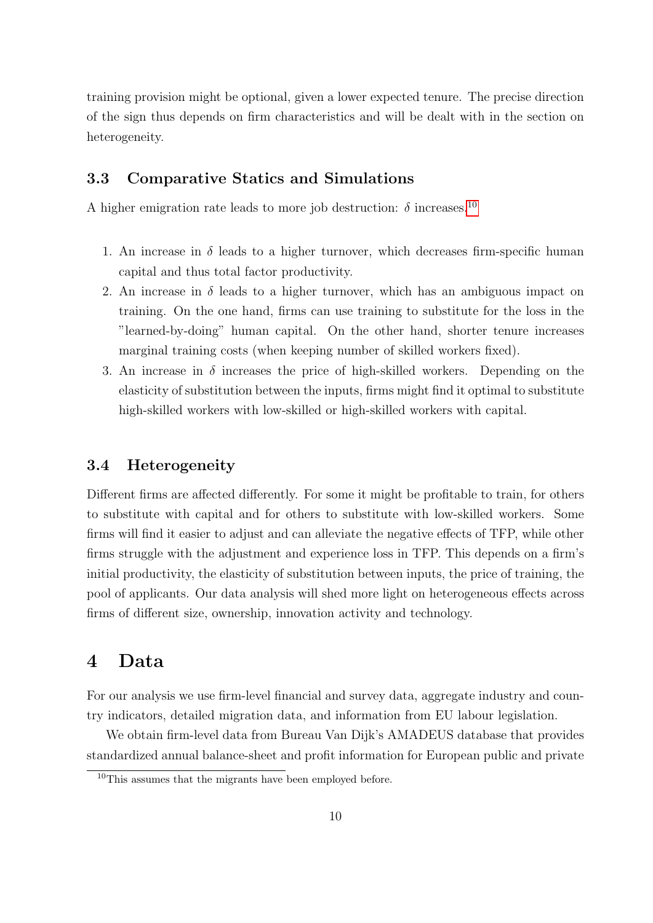training provision might be optional, given a lower expected tenure. The precise direction of the sign thus depends on firm characteristics and will be dealt with in the section on heterogeneity.

#### 3.3 Comparative Statics and Simulations

A higher emigration rate leads to more job destruction:  $\delta$  increases.<sup>[10](#page-9-0)</sup>

- 1. An increase in  $\delta$  leads to a higher turnover, which decreases firm-specific human capital and thus total factor productivity.
- 2. An increase in  $\delta$  leads to a higher turnover, which has an ambiguous impact on training. On the one hand, firms can use training to substitute for the loss in the "learned-by-doing" human capital. On the other hand, shorter tenure increases marginal training costs (when keeping number of skilled workers fixed).
- 3. An increase in  $\delta$  increases the price of high-skilled workers. Depending on the elasticity of substitution between the inputs, firms might find it optimal to substitute high-skilled workers with low-skilled or high-skilled workers with capital.

#### 3.4 Heterogeneity

Different firms are affected differently. For some it might be profitable to train, for others to substitute with capital and for others to substitute with low-skilled workers. Some firms will find it easier to adjust and can alleviate the negative effects of TFP, while other firms struggle with the adjustment and experience loss in TFP. This depends on a firm's initial productivity, the elasticity of substitution between inputs, the price of training, the pool of applicants. Our data analysis will shed more light on heterogeneous effects across firms of different size, ownership, innovation activity and technology.

## <span id="page-9-1"></span>4 Data

For our analysis we use firm-level financial and survey data, aggregate industry and country indicators, detailed migration data, and information from EU labour legislation.

We obtain firm-level data from Bureau Van Dijk's AMADEUS database that provides standardized annual balance-sheet and profit information for European public and private

<span id="page-9-0"></span><sup>&</sup>lt;sup>10</sup>This assumes that the migrants have been employed before.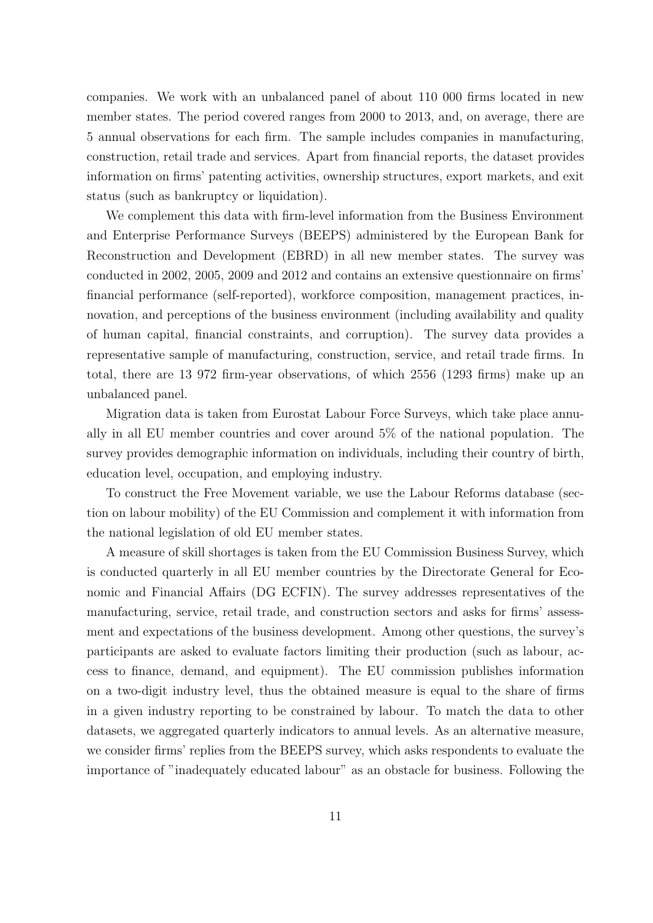companies. We work with an unbalanced panel of about 110 000 firms located in new member states. The period covered ranges from 2000 to 2013, and, on average, there are 5 annual observations for each firm. The sample includes companies in manufacturing, construction, retail trade and services. Apart from financial reports, the dataset provides information on firms' patenting activities, ownership structures, export markets, and exit status (such as bankruptcy or liquidation).

We complement this data with firm-level information from the Business Environment and Enterprise Performance Surveys (BEEPS) administered by the European Bank for Reconstruction and Development (EBRD) in all new member states. The survey was conducted in 2002, 2005, 2009 and 2012 and contains an extensive questionnaire on firms' financial performance (self-reported), workforce composition, management practices, innovation, and perceptions of the business environment (including availability and quality of human capital, financial constraints, and corruption). The survey data provides a representative sample of manufacturing, construction, service, and retail trade firms. In total, there are 13 972 firm-year observations, of which 2556 (1293 firms) make up an unbalanced panel.

Migration data is taken from Eurostat Labour Force Surveys, which take place annually in all EU member countries and cover around 5% of the national population. The survey provides demographic information on individuals, including their country of birth, education level, occupation, and employing industry.

To construct the Free Movement variable, we use the Labour Reforms database (section on labour mobility) of the EU Commission and complement it with information from the national legislation of old EU member states.

A measure of skill shortages is taken from the EU Commission Business Survey, which is conducted quarterly in all EU member countries by the Directorate General for Economic and Financial Affairs (DG ECFIN). The survey addresses representatives of the manufacturing, service, retail trade, and construction sectors and asks for firms' assessment and expectations of the business development. Among other questions, the survey's participants are asked to evaluate factors limiting their production (such as labour, access to finance, demand, and equipment). The EU commission publishes information on a two-digit industry level, thus the obtained measure is equal to the share of firms in a given industry reporting to be constrained by labour. To match the data to other datasets, we aggregated quarterly indicators to annual levels. As an alternative measure, we consider firms' replies from the BEEPS survey, which asks respondents to evaluate the importance of "inadequately educated labour" as an obstacle for business. Following the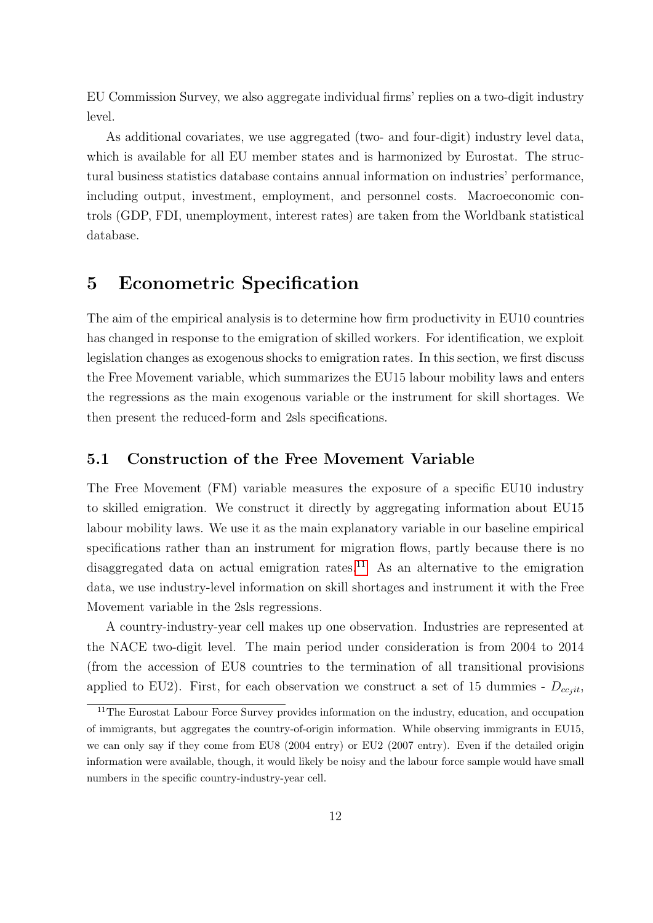EU Commission Survey, we also aggregate individual firms' replies on a two-digit industry level.

As additional covariates, we use aggregated (two- and four-digit) industry level data, which is available for all EU member states and is harmonized by Eurostat. The structural business statistics database contains annual information on industries' performance, including output, investment, employment, and personnel costs. Macroeconomic controls (GDP, FDI, unemployment, interest rates) are taken from the Worldbank statistical database.

# 5 Econometric Specification

The aim of the empirical analysis is to determine how firm productivity in EU10 countries has changed in response to the emigration of skilled workers. For identification, we exploit legislation changes as exogenous shocks to emigration rates. In this section, we first discuss the Free Movement variable, which summarizes the EU15 labour mobility laws and enters the regressions as the main exogenous variable or the instrument for skill shortages. We then present the reduced-form and 2sls specifications.

#### <span id="page-11-1"></span>5.1 Construction of the Free Movement Variable

The Free Movement (FM) variable measures the exposure of a specific EU10 industry to skilled emigration. We construct it directly by aggregating information about EU15 labour mobility laws. We use it as the main explanatory variable in our baseline empirical specifications rather than an instrument for migration flows, partly because there is no disaggregated data on actual emigration rates.<sup>[11](#page-11-0)</sup> As an alternative to the emigration data, we use industry-level information on skill shortages and instrument it with the Free Movement variable in the 2sls regressions.

A country-industry-year cell makes up one observation. Industries are represented at the NACE two-digit level. The main period under consideration is from 2004 to 2014 (from the accession of EU8 countries to the termination of all transitional provisions applied to EU2). First, for each observation we construct a set of 15 dummies -  $D_{cc, it}$ ,

<span id="page-11-0"></span><sup>&</sup>lt;sup>11</sup>The Eurostat Labour Force Survey provides information on the industry, education, and occupation of immigrants, but aggregates the country-of-origin information. While observing immigrants in EU15, we can only say if they come from EU8 (2004 entry) or EU2 (2007 entry). Even if the detailed origin information were available, though, it would likely be noisy and the labour force sample would have small numbers in the specific country-industry-year cell.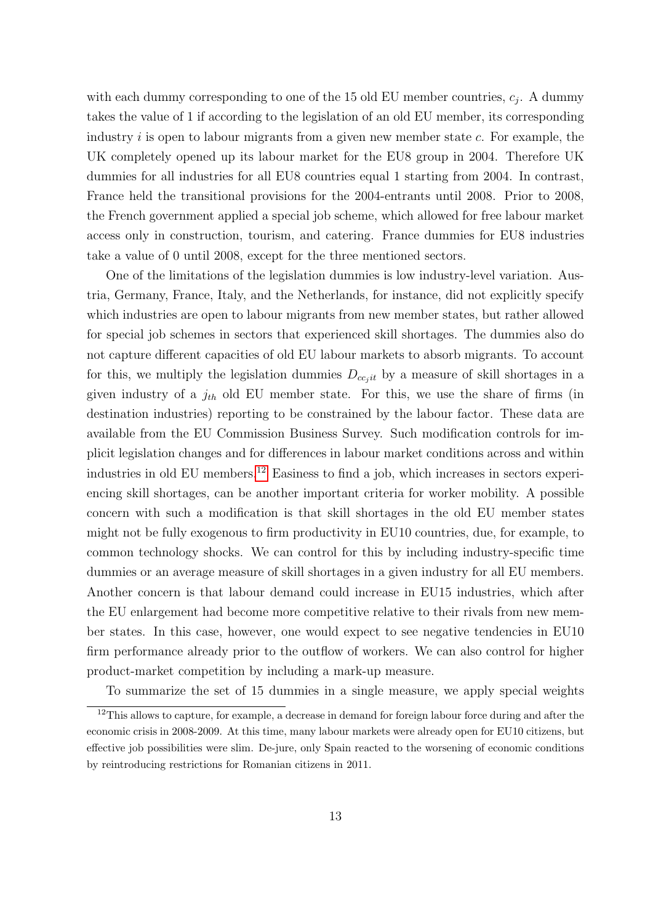with each dummy corresponding to one of the 15 old EU member countries,  $c_j$ . A dummy takes the value of 1 if according to the legislation of an old EU member, its corresponding industry  $i$  is open to labour migrants from a given new member state  $c$ . For example, the UK completely opened up its labour market for the EU8 group in 2004. Therefore UK dummies for all industries for all EU8 countries equal 1 starting from 2004. In contrast, France held the transitional provisions for the 2004-entrants until 2008. Prior to 2008, the French government applied a special job scheme, which allowed for free labour market access only in construction, tourism, and catering. France dummies for EU8 industries take a value of 0 until 2008, except for the three mentioned sectors.

One of the limitations of the legislation dummies is low industry-level variation. Austria, Germany, France, Italy, and the Netherlands, for instance, did not explicitly specify which industries are open to labour migrants from new member states, but rather allowed for special job schemes in sectors that experienced skill shortages. The dummies also do not capture different capacities of old EU labour markets to absorb migrants. To account for this, we multiply the legislation dummies  $D_{ccjit}$  by a measure of skill shortages in a given industry of a  $j_{th}$  old EU member state. For this, we use the share of firms (in destination industries) reporting to be constrained by the labour factor. These data are available from the EU Commission Business Survey. Such modification controls for implicit legislation changes and for differences in labour market conditions across and within industries in old EU members.<sup>[12](#page-12-0)</sup> Easiness to find a job, which increases in sectors experiencing skill shortages, can be another important criteria for worker mobility. A possible concern with such a modification is that skill shortages in the old EU member states might not be fully exogenous to firm productivity in EU10 countries, due, for example, to common technology shocks. We can control for this by including industry-specific time dummies or an average measure of skill shortages in a given industry for all EU members. Another concern is that labour demand could increase in EU15 industries, which after the EU enlargement had become more competitive relative to their rivals from new member states. In this case, however, one would expect to see negative tendencies in EU10 firm performance already prior to the outflow of workers. We can also control for higher product-market competition by including a mark-up measure.

<span id="page-12-0"></span>To summarize the set of 15 dummies in a single measure, we apply special weights

 $12$ This allows to capture, for example, a decrease in demand for foreign labour force during and after the economic crisis in 2008-2009. At this time, many labour markets were already open for EU10 citizens, but effective job possibilities were slim. De-jure, only Spain reacted to the worsening of economic conditions by reintroducing restrictions for Romanian citizens in 2011.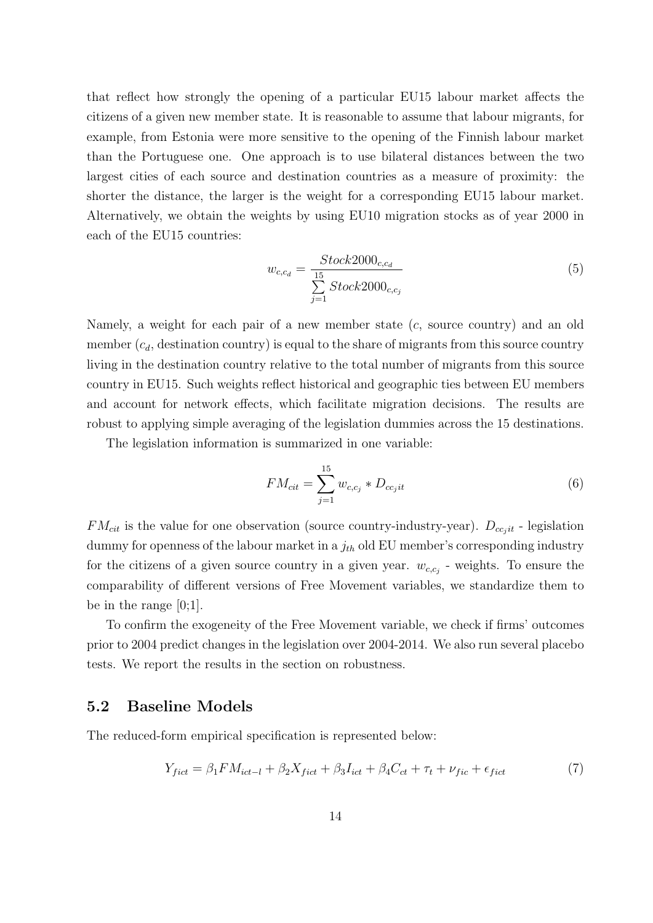that reflect how strongly the opening of a particular EU15 labour market affects the citizens of a given new member state. It is reasonable to assume that labour migrants, for example, from Estonia were more sensitive to the opening of the Finnish labour market than the Portuguese one. One approach is to use bilateral distances between the two largest cities of each source and destination countries as a measure of proximity: the shorter the distance, the larger is the weight for a corresponding EU15 labour market. Alternatively, we obtain the weights by using EU10 migration stocks as of year 2000 in each of the EU15 countries:

$$
w_{c,c_d} = \frac{Stock2000_{c,c_d}}{\sum_{j=1}^{15} Stock2000_{c,c_j}}
$$
(5)

Namely, a weight for each pair of a new member state  $(c,$  source country) and an old member  $(c_d,$  destination country) is equal to the share of migrants from this source country living in the destination country relative to the total number of migrants from this source country in EU15. Such weights reflect historical and geographic ties between EU members and account for network effects, which facilitate migration decisions. The results are robust to applying simple averaging of the legislation dummies across the 15 destinations.

The legislation information is summarized in one variable:

$$
FM_{cit} = \sum_{j=1}^{15} w_{c,c_j} * D_{cc_jit}
$$
 (6)

 $FM_{cit}$  is the value for one observation (source country-industry-year).  $D_{cc_jit}$  - legislation dummy for openness of the labour market in a  $j_{th}$  old EU member's corresponding industry for the citizens of a given source country in a given year.  $w_{c,c_j}$  - weights. To ensure the comparability of different versions of Free Movement variables, we standardize them to be in the range [0;1].

To confirm the exogeneity of the Free Movement variable, we check if firms' outcomes prior to 2004 predict changes in the legislation over 2004-2014. We also run several placebo tests. We report the results in the section on robustness.

#### 5.2 Baseline Models

The reduced-form empirical specification is represented below:

<span id="page-13-0"></span>
$$
Y_{\text{fict}} = \beta_1 F M_{\text{ict}-l} + \beta_2 X_{\text{fict}} + \beta_3 I_{\text{ict}} + \beta_4 C_{\text{ct}} + \tau_t + \nu_{\text{fic}} + \epsilon_{\text{fict}} \tag{7}
$$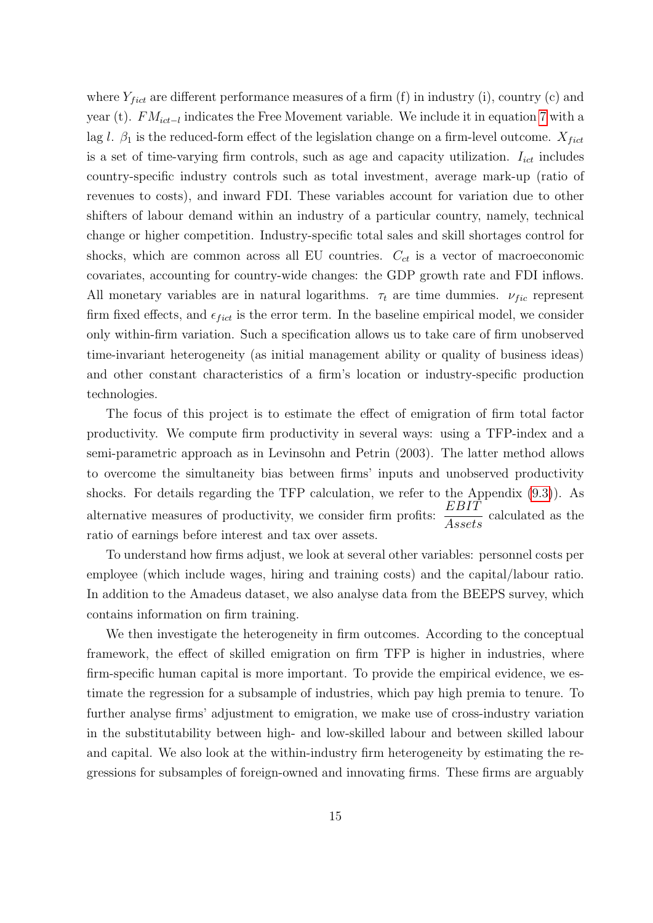where  $Y_{fict}$  are different performance measures of a firm (f) in industry (i), country (c) and year (t).  $FM_{ict-I}$  indicates the Free Movement variable. We include it in equation [7](#page-13-0) with a lag l.  $\beta_1$  is the reduced-form effect of the legislation change on a firm-level outcome.  $X_{fict}$ is a set of time-varying firm controls, such as age and capacity utilization.  $I_{ict}$  includes country-specific industry controls such as total investment, average mark-up (ratio of revenues to costs), and inward FDI. These variables account for variation due to other shifters of labour demand within an industry of a particular country, namely, technical change or higher competition. Industry-specific total sales and skill shortages control for shocks, which are common across all EU countries.  $C_{ct}$  is a vector of macroeconomic covariates, accounting for country-wide changes: the GDP growth rate and FDI inflows. All monetary variables are in natural logarithms.  $\tau_t$  are time dummies.  $\nu_{fic}$  represent firm fixed effects, and  $\epsilon_{fict}$  is the error term. In the baseline empirical model, we consider only within-firm variation. Such a specification allows us to take care of firm unobserved time-invariant heterogeneity (as initial management ability or quality of business ideas) and other constant characteristics of a firm's location or industry-specific production technologies.

The focus of this project is to estimate the effect of emigration of firm total factor productivity. We compute firm productivity in several ways: using a TFP-index and a semi-parametric approach as in Levinsohn and Petrin (2003). The latter method allows to overcome the simultaneity bias between firms' inputs and unobserved productivity shocks. For details regarding the TFP calculation, we refer to the Appendix [\(9.3\)](#page-45-0)). As alternative measures of productivity, we consider firm profits:  $\frac{EBIT}{4}$  $\frac{2511}{Assets}$  calculated as the ratio of earnings before interest and tax over assets.

To understand how firms adjust, we look at several other variables: personnel costs per employee (which include wages, hiring and training costs) and the capital/labour ratio. In addition to the Amadeus dataset, we also analyse data from the BEEPS survey, which contains information on firm training.

We then investigate the heterogeneity in firm outcomes. According to the conceptual framework, the effect of skilled emigration on firm TFP is higher in industries, where firm-specific human capital is more important. To provide the empirical evidence, we estimate the regression for a subsample of industries, which pay high premia to tenure. To further analyse firms' adjustment to emigration, we make use of cross-industry variation in the substitutability between high- and low-skilled labour and between skilled labour and capital. We also look at the within-industry firm heterogeneity by estimating the regressions for subsamples of foreign-owned and innovating firms. These firms are arguably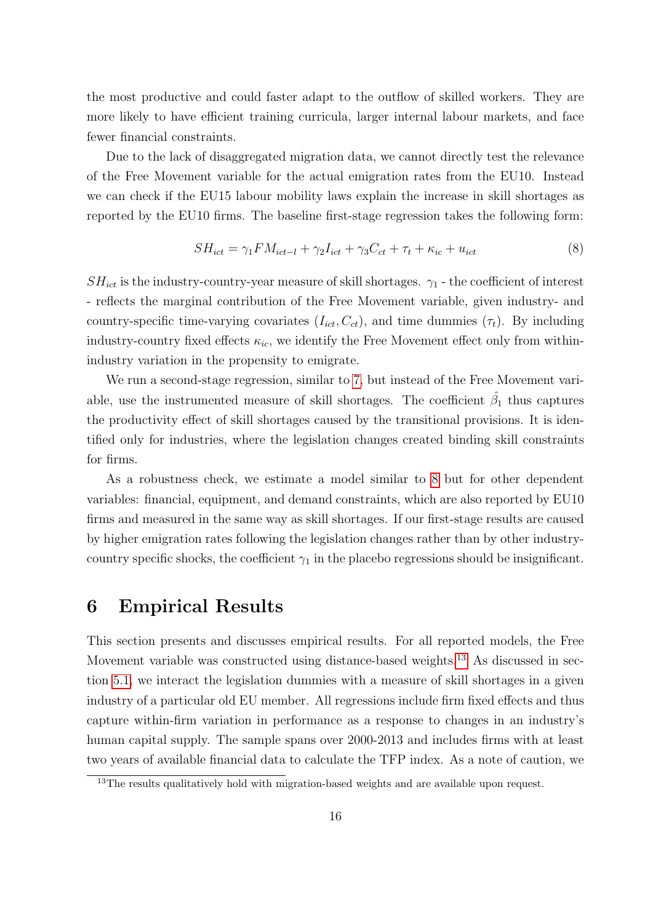the most productive and could faster adapt to the outflow of skilled workers. They are more likely to have efficient training curricula, larger internal labour markets, and face fewer financial constraints.

Due to the lack of disaggregated migration data, we cannot directly test the relevance of the Free Movement variable for the actual emigration rates from the EU10. Instead we can check if the EU15 labour mobility laws explain the increase in skill shortages as reported by the EU10 firms. The baseline first-stage regression takes the following form:

<span id="page-15-0"></span>
$$
SH_{ict} = \gamma_1 F M_{ict-l} + \gamma_2 I_{ict} + \gamma_3 C_{ct} + \tau_t + \kappa_{ic} + u_{ict}
$$
\n
$$
\tag{8}
$$

 $SH_{ict}$  is the industry-country-year measure of skill shortages.  $\gamma_1$  - the coefficient of interest - reflects the marginal contribution of the Free Movement variable, given industry- and country-specific time-varying covariates  $(I_{ict}, C_{ct})$ , and time dummies  $(\tau_t)$ . By including industry-country fixed effects  $\kappa_{ic}$ , we identify the Free Movement effect only from withinindustry variation in the propensity to emigrate.

We run a second-stage regression, similar to [7,](#page-13-0) but instead of the Free Movement variable, use the instrumented measure of skill shortages. The coefficient  $\hat{\beta}_1$  thus captures the productivity effect of skill shortages caused by the transitional provisions. It is identified only for industries, where the legislation changes created binding skill constraints for firms.

As a robustness check, we estimate a model similar to [8](#page-15-0) but for other dependent variables: financial, equipment, and demand constraints, which are also reported by EU10 firms and measured in the same way as skill shortages. If our first-stage results are caused by higher emigration rates following the legislation changes rather than by other industrycountry specific shocks, the coefficient  $\gamma_1$  in the placebo regressions should be insignificant.

## 6 Empirical Results

This section presents and discusses empirical results. For all reported models, the Free Movement variable was constructed using distance-based weights.<sup>[13](#page-15-1)</sup> As discussed in section [5.1,](#page-11-1) we interact the legislation dummies with a measure of skill shortages in a given industry of a particular old EU member. All regressions include firm fixed effects and thus capture within-firm variation in performance as a response to changes in an industry's human capital supply. The sample spans over 2000-2013 and includes firms with at least two years of available financial data to calculate the TFP index. As a note of caution, we

<span id="page-15-1"></span><sup>&</sup>lt;sup>13</sup>The results qualitatively hold with migration-based weights and are available upon request.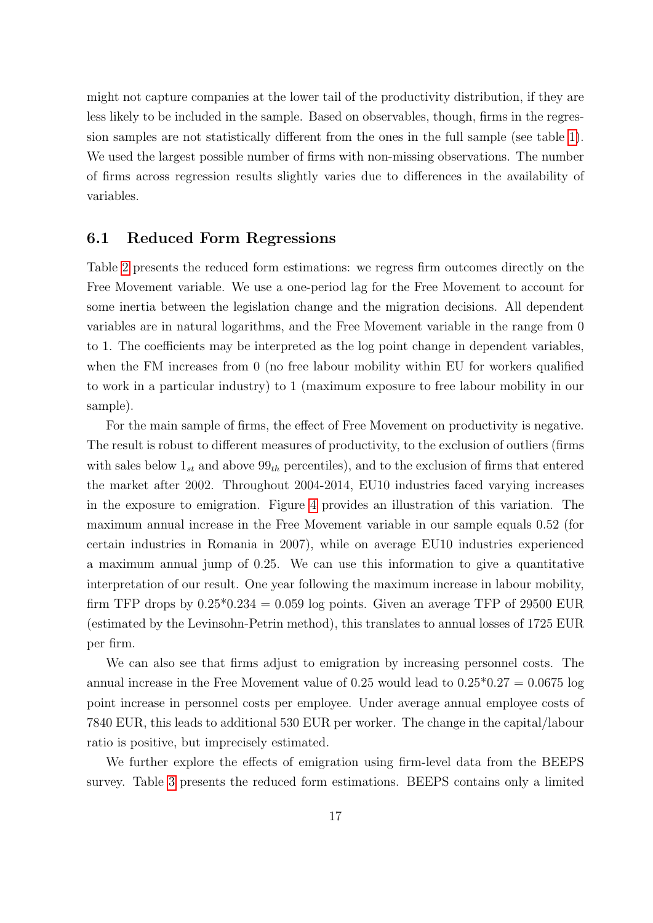might not capture companies at the lower tail of the productivity distribution, if they are less likely to be included in the sample. Based on observables, though, firms in the regression samples are not statistically different from the ones in the full sample (see table [1\)](#page-32-0). We used the largest possible number of firms with non-missing observations. The number of firms across regression results slightly varies due to differences in the availability of variables.

#### 6.1 Reduced Form Regressions

Table [2](#page-33-0) presents the reduced form estimations: we regress firm outcomes directly on the Free Movement variable. We use a one-period lag for the Free Movement to account for some inertia between the legislation change and the migration decisions. All dependent variables are in natural logarithms, and the Free Movement variable in the range from 0 to 1. The coefficients may be interpreted as the log point change in dependent variables, when the FM increases from 0 (no free labour mobility within EU for workers qualified to work in a particular industry) to 1 (maximum exposure to free labour mobility in our sample).

For the main sample of firms, the effect of Free Movement on productivity is negative. The result is robust to different measures of productivity, to the exclusion of outliers (firms with sales below  $1_{st}$  and above  $99<sub>th</sub>$  percentiles), and to the exclusion of firms that entered the market after 2002. Throughout 2004-2014, EU10 industries faced varying increases in the exposure to emigration. Figure [4](#page-31-0) provides an illustration of this variation. The maximum annual increase in the Free Movement variable in our sample equals 0.52 (for certain industries in Romania in 2007), while on average EU10 industries experienced a maximum annual jump of 0.25. We can use this information to give a quantitative interpretation of our result. One year following the maximum increase in labour mobility, firm TFP drops by  $0.25*0.234 = 0.059$  log points. Given an average TFP of 29500 EUR (estimated by the Levinsohn-Petrin method), this translates to annual losses of 1725 EUR per firm.

We can also see that firms adjust to emigration by increasing personnel costs. The annual increase in the Free Movement value of 0.25 would lead to  $0.25*0.27 = 0.0675 \log$ point increase in personnel costs per employee. Under average annual employee costs of 7840 EUR, this leads to additional 530 EUR per worker. The change in the capital/labour ratio is positive, but imprecisely estimated.

We further explore the effects of emigration using firm-level data from the BEEPS survey. Table [3](#page-34-0) presents the reduced form estimations. BEEPS contains only a limited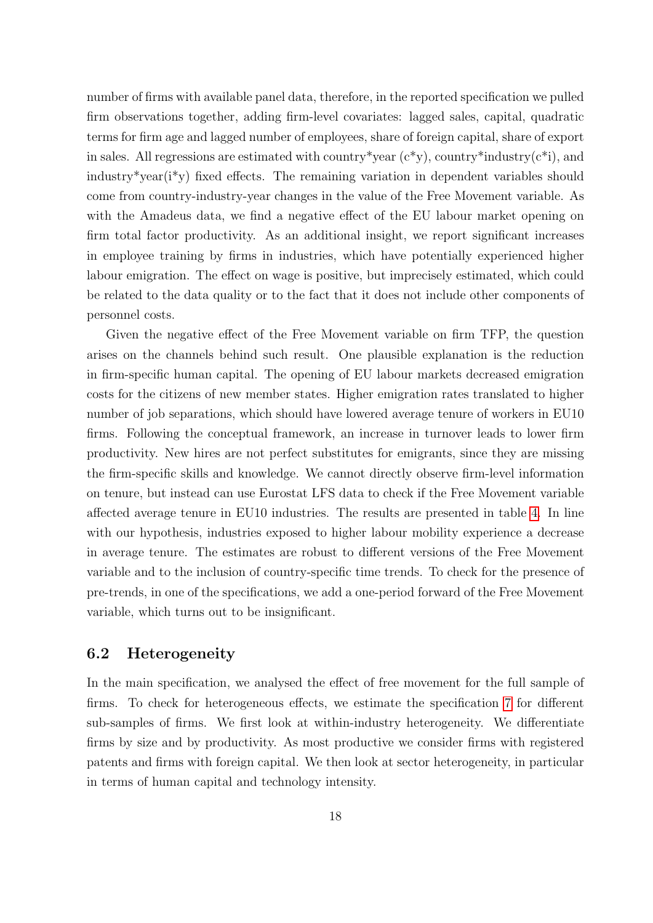number of firms with available panel data, therefore, in the reported specification we pulled firm observations together, adding firm-level covariates: lagged sales, capital, quadratic terms for firm age and lagged number of employees, share of foreign capital, share of export in sales. All regressions are estimated with country \*year  $(c^*y)$ , country \*industry $(c^*i)$ , and industry\*year(i\*y) fixed effects. The remaining variation in dependent variables should come from country-industry-year changes in the value of the Free Movement variable. As with the Amadeus data, we find a negative effect of the EU labour market opening on firm total factor productivity. As an additional insight, we report significant increases in employee training by firms in industries, which have potentially experienced higher labour emigration. The effect on wage is positive, but imprecisely estimated, which could be related to the data quality or to the fact that it does not include other components of personnel costs.

Given the negative effect of the Free Movement variable on firm TFP, the question arises on the channels behind such result. One plausible explanation is the reduction in firm-specific human capital. The opening of EU labour markets decreased emigration costs for the citizens of new member states. Higher emigration rates translated to higher number of job separations, which should have lowered average tenure of workers in EU10 firms. Following the conceptual framework, an increase in turnover leads to lower firm productivity. New hires are not perfect substitutes for emigrants, since they are missing the firm-specific skills and knowledge. We cannot directly observe firm-level information on tenure, but instead can use Eurostat LFS data to check if the Free Movement variable affected average tenure in EU10 industries. The results are presented in table [4.](#page-35-0) In line with our hypothesis, industries exposed to higher labour mobility experience a decrease in average tenure. The estimates are robust to different versions of the Free Movement variable and to the inclusion of country-specific time trends. To check for the presence of pre-trends, in one of the specifications, we add a one-period forward of the Free Movement variable, which turns out to be insignificant.

#### 6.2 Heterogeneity

In the main specification, we analysed the effect of free movement for the full sample of firms. To check for heterogeneous effects, we estimate the specification [7](#page-13-0) for different sub-samples of firms. We first look at within-industry heterogeneity. We differentiate firms by size and by productivity. As most productive we consider firms with registered patents and firms with foreign capital. We then look at sector heterogeneity, in particular in terms of human capital and technology intensity.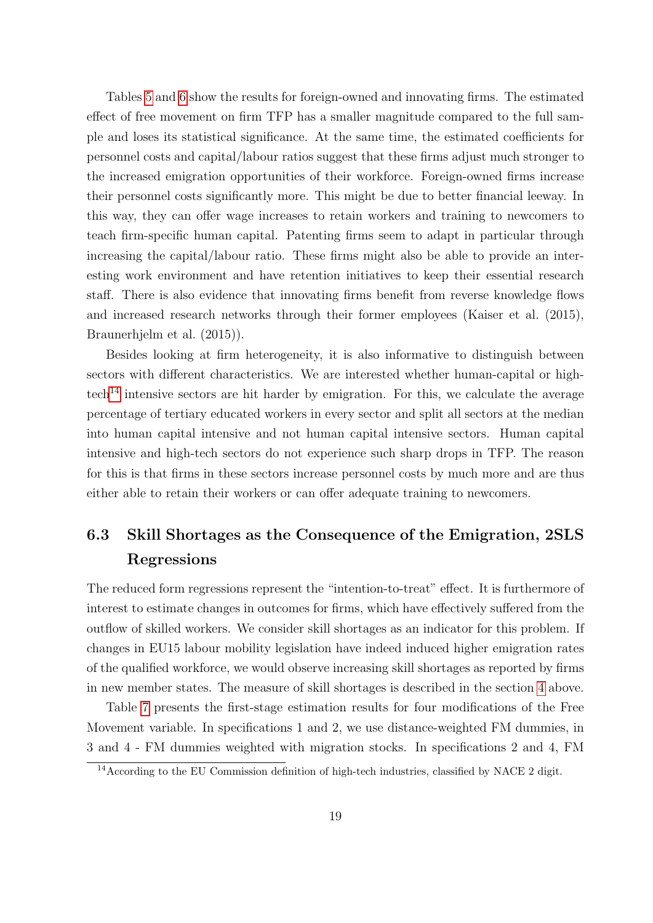Tables [5](#page-36-0) and [6](#page-37-0) show the results for foreign-owned and innovating firms. The estimated effect of free movement on firm TFP has a smaller magnitude compared to the full sample and loses its statistical significance. At the same time, the estimated coefficients for personnel costs and capital/labour ratios suggest that these firms adjust much stronger to the increased emigration opportunities of their workforce. Foreign-owned firms increase their personnel costs significantly more. This might be due to better financial leeway. In this way, they can offer wage increases to retain workers and training to newcomers to teach firm-specific human capital. Patenting firms seem to adapt in particular through increasing the capital/labour ratio. These firms might also be able to provide an interesting work environment and have retention initiatives to keep their essential research staff. There is also evidence that innovating firms benefit from reverse knowledge flows and increased research networks through their former employees (Kaiser et al. (2015), Braunerhjelm et al. (2015)).

Besides looking at firm heterogeneity, it is also informative to distinguish between sectors with different characteristics. We are interested whether human-capital or high- $\text{tech}^{14}$  $\text{tech}^{14}$  $\text{tech}^{14}$  intensive sectors are hit harder by emigration. For this, we calculate the average percentage of tertiary educated workers in every sector and split all sectors at the median into human capital intensive and not human capital intensive sectors. Human capital intensive and high-tech sectors do not experience such sharp drops in TFP. The reason for this is that firms in these sectors increase personnel costs by much more and are thus either able to retain their workers or can offer adequate training to newcomers.

# 6.3 Skill Shortages as the Consequence of the Emigration, 2SLS Regressions

The reduced form regressions represent the "intention-to-treat" effect. It is furthermore of interest to estimate changes in outcomes for firms, which have effectively suffered from the outflow of skilled workers. We consider skill shortages as an indicator for this problem. If changes in EU15 labour mobility legislation have indeed induced higher emigration rates of the qualified workforce, we would observe increasing skill shortages as reported by firms in new member states. The measure of skill shortages is described in the section [4](#page-9-1) above.

Table [7](#page-38-0) presents the first-stage estimation results for four modifications of the Free Movement variable. In specifications 1 and 2, we use distance-weighted FM dummies, in 3 and 4 - FM dummies weighted with migration stocks. In specifications 2 and 4, FM

<span id="page-18-0"></span><sup>&</sup>lt;sup>14</sup> According to the EU Commission definition of high-tech industries, classified by NACE 2 digit.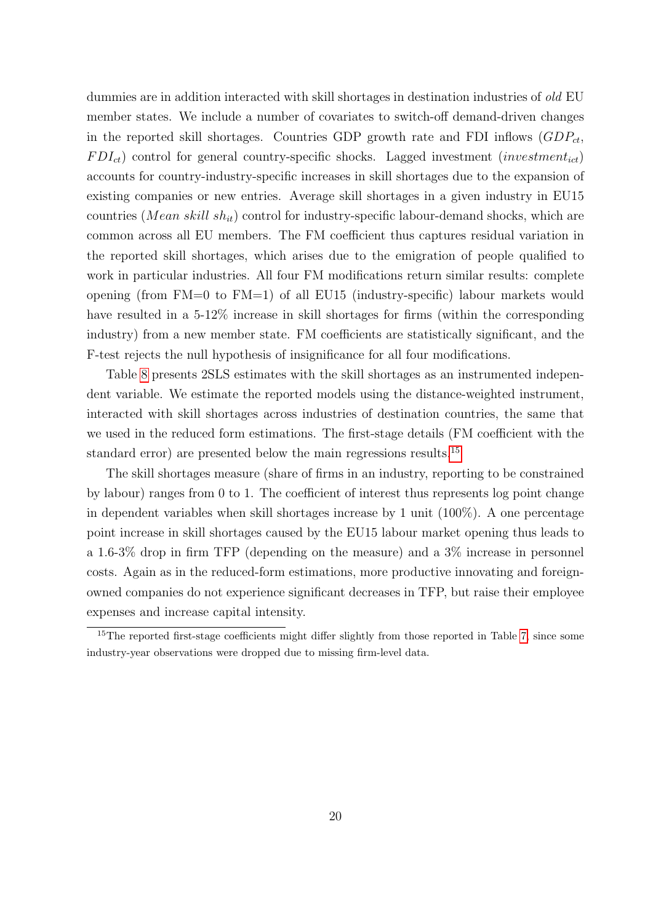dummies are in addition interacted with skill shortages in destination industries of *old* EU member states. We include a number of covariates to switch-off demand-driven changes in the reported skill shortages. Countries GDP growth rate and FDI inflows  $(GDP_{ct}$ ,  $FDI_{ct}$ ) control for general country-specific shocks. Lagged investment (investment<sub>ict</sub>) accounts for country-industry-specific increases in skill shortages due to the expansion of existing companies or new entries. Average skill shortages in a given industry in EU15 countries (*Mean skill sh<sub>it</sub>*) control for industry-specific labour-demand shocks, which are common across all EU members. The FM coefficient thus captures residual variation in the reported skill shortages, which arises due to the emigration of people qualified to work in particular industries. All four FM modifications return similar results: complete opening (from FM=0 to FM=1) of all EU15 (industry-specific) labour markets would have resulted in a 5-12\% increase in skill shortages for firms (within the corresponding industry) from a new member state. FM coefficients are statistically significant, and the F-test rejects the null hypothesis of insignificance for all four modifications.

Table [8](#page-39-0) presents 2SLS estimates with the skill shortages as an instrumented independent variable. We estimate the reported models using the distance-weighted instrument, interacted with skill shortages across industries of destination countries, the same that we used in the reduced form estimations. The first-stage details (FM coefficient with the standard error) are presented below the main regressions results.<sup>[15](#page-19-0)</sup>

The skill shortages measure (share of firms in an industry, reporting to be constrained by labour) ranges from 0 to 1. The coefficient of interest thus represents log point change in dependent variables when skill shortages increase by 1 unit (100%). A one percentage point increase in skill shortages caused by the EU15 labour market opening thus leads to a 1.6-3% drop in firm TFP (depending on the measure) and a 3% increase in personnel costs. Again as in the reduced-form estimations, more productive innovating and foreignowned companies do not experience significant decreases in TFP, but raise their employee expenses and increase capital intensity.

<span id="page-19-0"></span><sup>&</sup>lt;sup>15</sup>The reported first-stage coefficients might differ slightly from those reported in Table [7,](#page-38-0) since some industry-year observations were dropped due to missing firm-level data.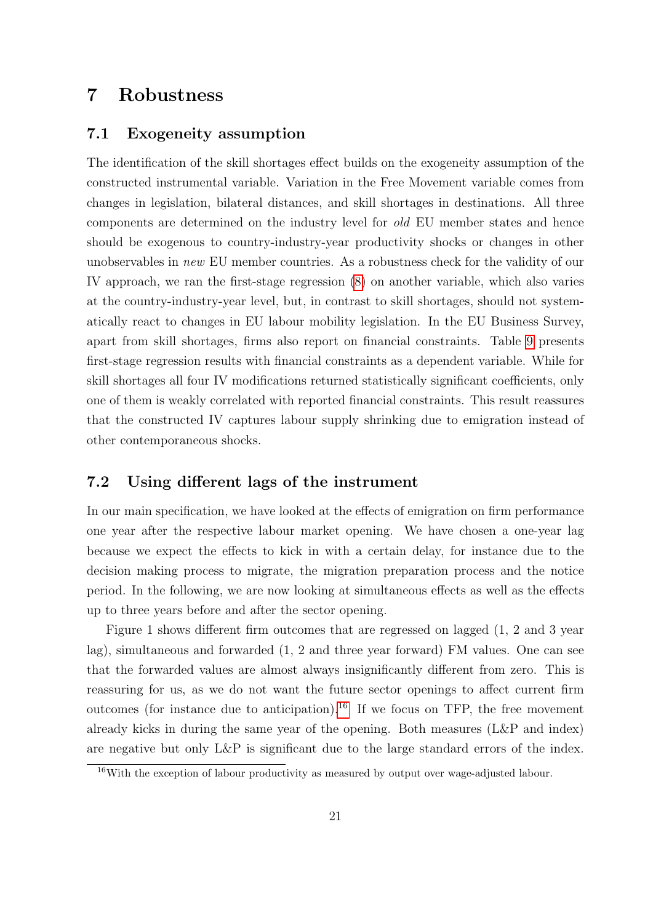# 7 Robustness

#### 7.1 Exogeneity assumption

The identification of the skill shortages effect builds on the exogeneity assumption of the constructed instrumental variable. Variation in the Free Movement variable comes from changes in legislation, bilateral distances, and skill shortages in destinations. All three components are determined on the industry level for old EU member states and hence should be exogenous to country-industry-year productivity shocks or changes in other unobservables in new EU member countries. As a robustness check for the validity of our IV approach, we ran the first-stage regression [\(8\)](#page-15-0) on another variable, which also varies at the country-industry-year level, but, in contrast to skill shortages, should not systematically react to changes in EU labour mobility legislation. In the EU Business Survey, apart from skill shortages, firms also report on financial constraints. Table [9](#page-40-0) presents first-stage regression results with financial constraints as a dependent variable. While for skill shortages all four IV modifications returned statistically significant coefficients, only one of them is weakly correlated with reported financial constraints. This result reassures that the constructed IV captures labour supply shrinking due to emigration instead of other contemporaneous shocks.

#### 7.2 Using different lags of the instrument

In our main specification, we have looked at the effects of emigration on firm performance one year after the respective labour market opening. We have chosen a one-year lag because we expect the effects to kick in with a certain delay, for instance due to the decision making process to migrate, the migration preparation process and the notice period. In the following, we are now looking at simultaneous effects as well as the effects up to three years before and after the sector opening.

Figure 1 shows different firm outcomes that are regressed on lagged (1, 2 and 3 year lag), simultaneous and forwarded (1, 2 and three year forward) FM values. One can see that the forwarded values are almost always insignificantly different from zero. This is reassuring for us, as we do not want the future sector openings to affect current firm outcomes (for instance due to anticipation).<sup>[16](#page-20-0)</sup> If we focus on TFP, the free movement already kicks in during the same year of the opening. Both measures (L&P and index) are negative but only L&P is significant due to the large standard errors of the index.

<span id="page-20-0"></span><sup>&</sup>lt;sup>16</sup>With the exception of labour productivity as measured by output over wage-adjusted labour.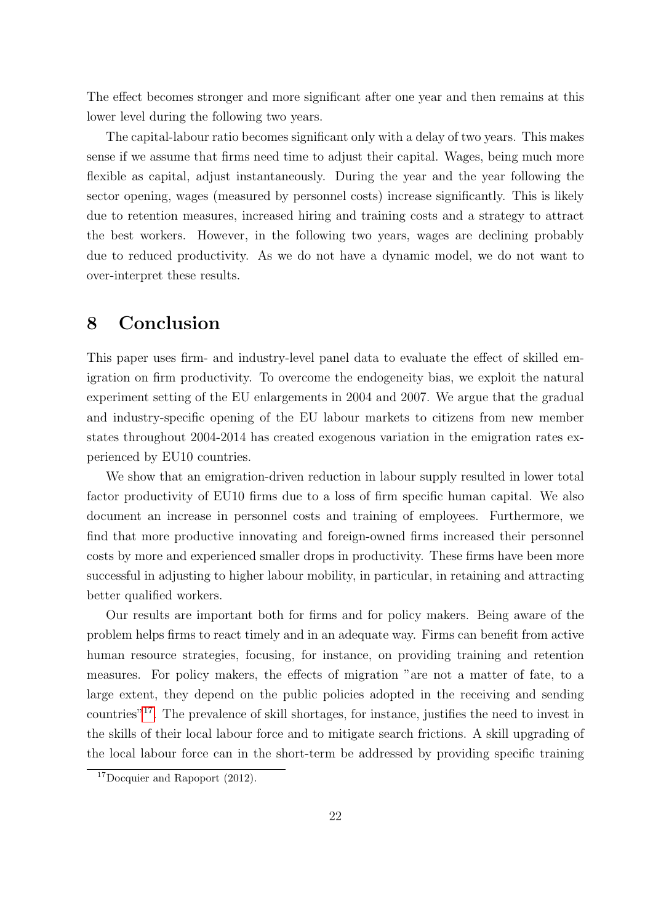The effect becomes stronger and more significant after one year and then remains at this lower level during the following two years.

The capital-labour ratio becomes significant only with a delay of two years. This makes sense if we assume that firms need time to adjust their capital. Wages, being much more flexible as capital, adjust instantaneously. During the year and the year following the sector opening, wages (measured by personnel costs) increase significantly. This is likely due to retention measures, increased hiring and training costs and a strategy to attract the best workers. However, in the following two years, wages are declining probably due to reduced productivity. As we do not have a dynamic model, we do not want to over-interpret these results.

# 8 Conclusion

This paper uses firm- and industry-level panel data to evaluate the effect of skilled emigration on firm productivity. To overcome the endogeneity bias, we exploit the natural experiment setting of the EU enlargements in 2004 and 2007. We argue that the gradual and industry-specific opening of the EU labour markets to citizens from new member states throughout 2004-2014 has created exogenous variation in the emigration rates experienced by EU10 countries.

We show that an emigration-driven reduction in labour supply resulted in lower total factor productivity of EU10 firms due to a loss of firm specific human capital. We also document an increase in personnel costs and training of employees. Furthermore, we find that more productive innovating and foreign-owned firms increased their personnel costs by more and experienced smaller drops in productivity. These firms have been more successful in adjusting to higher labour mobility, in particular, in retaining and attracting better qualified workers.

Our results are important both for firms and for policy makers. Being aware of the problem helps firms to react timely and in an adequate way. Firms can benefit from active human resource strategies, focusing, for instance, on providing training and retention measures. For policy makers, the effects of migration "are not a matter of fate, to a large extent, they depend on the public policies adopted in the receiving and sending countries"[17](#page-21-0). The prevalence of skill shortages, for instance, justifies the need to invest in the skills of their local labour force and to mitigate search frictions. A skill upgrading of the local labour force can in the short-term be addressed by providing specific training

<span id="page-21-0"></span><sup>&</sup>lt;sup>17</sup>Docquier and Rapoport  $(2012)$ .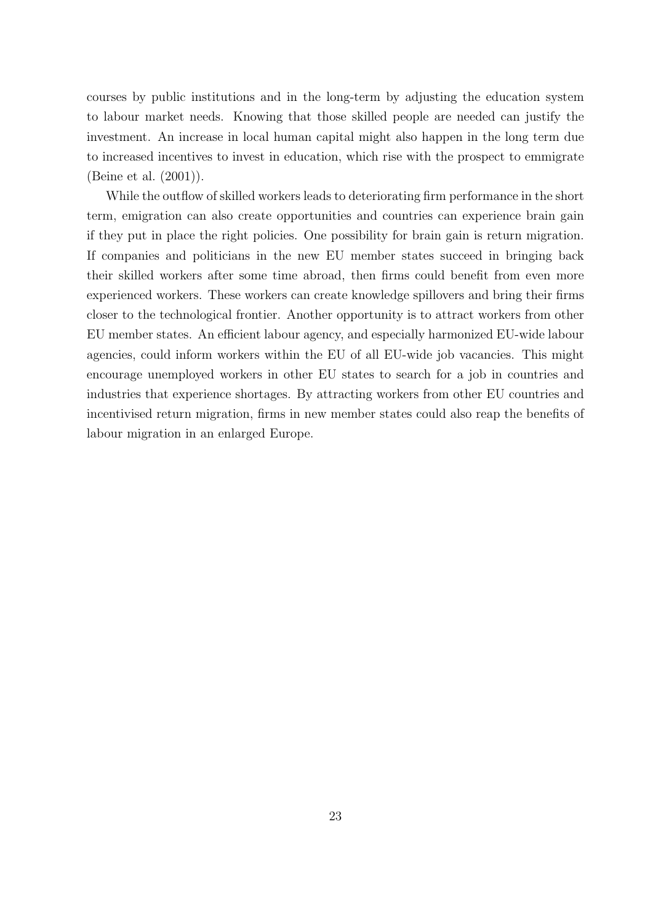courses by public institutions and in the long-term by adjusting the education system to labour market needs. Knowing that those skilled people are needed can justify the investment. An increase in local human capital might also happen in the long term due to increased incentives to invest in education, which rise with the prospect to emmigrate (Beine et al. (2001)).

While the outflow of skilled workers leads to deteriorating firm performance in the short term, emigration can also create opportunities and countries can experience brain gain if they put in place the right policies. One possibility for brain gain is return migration. If companies and politicians in the new EU member states succeed in bringing back their skilled workers after some time abroad, then firms could benefit from even more experienced workers. These workers can create knowledge spillovers and bring their firms closer to the technological frontier. Another opportunity is to attract workers from other EU member states. An efficient labour agency, and especially harmonized EU-wide labour agencies, could inform workers within the EU of all EU-wide job vacancies. This might encourage unemployed workers in other EU states to search for a job in countries and industries that experience shortages. By attracting workers from other EU countries and incentivised return migration, firms in new member states could also reap the benefits of labour migration in an enlarged Europe.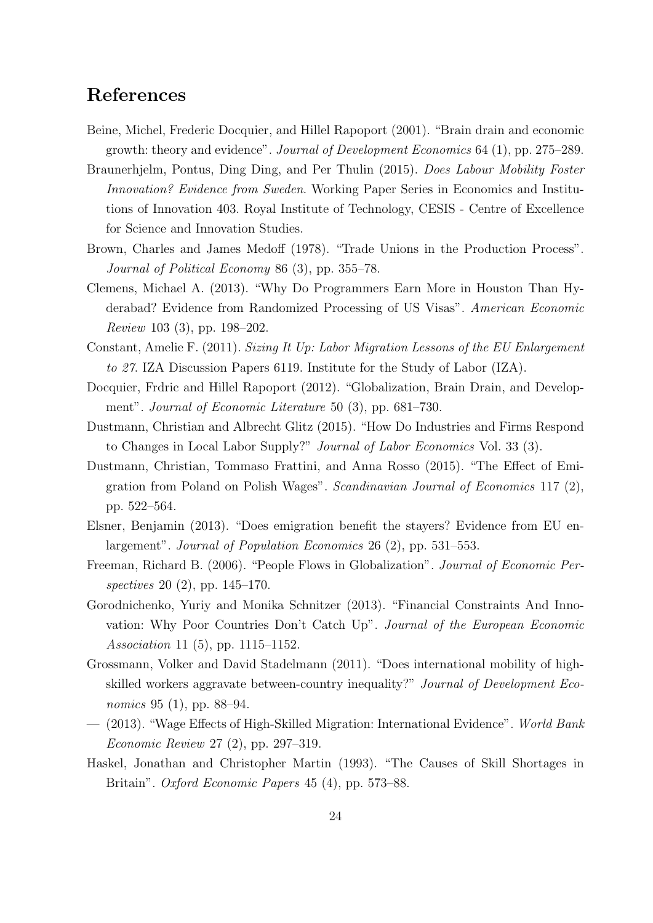## References

- Beine, Michel, Frederic Docquier, and Hillel Rapoport (2001). "Brain drain and economic growth: theory and evidence". Journal of Development Economics 64 (1), pp. 275–289.
- Braunerhjelm, Pontus, Ding Ding, and Per Thulin (2015). Does Labour Mobility Foster Innovation? Evidence from Sweden. Working Paper Series in Economics and Institutions of Innovation 403. Royal Institute of Technology, CESIS - Centre of Excellence for Science and Innovation Studies.
- Brown, Charles and James Medoff (1978). "Trade Unions in the Production Process". Journal of Political Economy 86 (3), pp. 355–78.
- Clemens, Michael A. (2013). "Why Do Programmers Earn More in Houston Than Hyderabad? Evidence from Randomized Processing of US Visas". American Economic Review 103 (3), pp. 198–202.
- Constant, Amelie F. (2011). Sizing It Up: Labor Migration Lessons of the EU Enlargement to 27. IZA Discussion Papers 6119. Institute for the Study of Labor (IZA).
- Docquier, Frdric and Hillel Rapoport (2012). "Globalization, Brain Drain, and Development". Journal of Economic Literature 50 (3), pp. 681–730.
- Dustmann, Christian and Albrecht Glitz (2015). "How Do Industries and Firms Respond to Changes in Local Labor Supply?" Journal of Labor Economics Vol. 33 (3).
- Dustmann, Christian, Tommaso Frattini, and Anna Rosso (2015). "The Effect of Emigration from Poland on Polish Wages". Scandinavian Journal of Economics 117 (2), pp. 522–564.
- Elsner, Benjamin (2013). "Does emigration benefit the stayers? Evidence from EU enlargement". Journal of Population Economics 26 (2), pp. 531–553.
- Freeman, Richard B. (2006). "People Flows in Globalization". Journal of Economic Perspectives 20 (2), pp. 145–170.
- Gorodnichenko, Yuriy and Monika Schnitzer (2013). "Financial Constraints And Innovation: Why Poor Countries Don't Catch Up". Journal of the European Economic Association 11 (5), pp. 1115–1152.
- Grossmann, Volker and David Stadelmann (2011). "Does international mobility of highskilled workers aggravate between-country inequality?" Journal of Development Economics 95 (1), pp. 88–94.
- (2013). "Wage Effects of High-Skilled Migration: International Evidence". World Bank Economic Review 27 (2), pp. 297–319.
- Haskel, Jonathan and Christopher Martin (1993). "The Causes of Skill Shortages in Britain". Oxford Economic Papers 45 (4), pp. 573–88.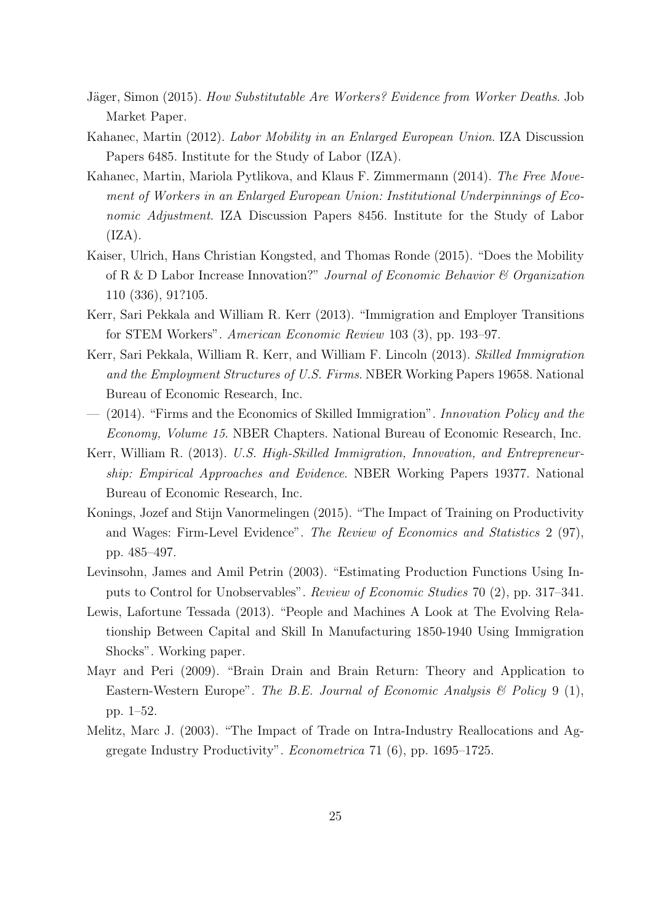- Jäger, Simon (2015). How Substitutable Are Workers? Evidence from Worker Deaths. Job Market Paper.
- Kahanec, Martin (2012). Labor Mobility in an Enlarged European Union. IZA Discussion Papers 6485. Institute for the Study of Labor (IZA).
- Kahanec, Martin, Mariola Pytlikova, and Klaus F. Zimmermann (2014). The Free Movement of Workers in an Enlarged European Union: Institutional Underpinnings of Economic Adjustment. IZA Discussion Papers 8456. Institute for the Study of Labor  $(IZA).$
- Kaiser, Ulrich, Hans Christian Kongsted, and Thomas Ronde (2015). "Does the Mobility of R & D Labor Increase Innovation?" Journal of Economic Behavior & Organization 110 (336), 91?105.
- Kerr, Sari Pekkala and William R. Kerr (2013). "Immigration and Employer Transitions for STEM Workers". American Economic Review 103 (3), pp. 193–97.
- Kerr, Sari Pekkala, William R. Kerr, and William F. Lincoln (2013). Skilled Immigration and the Employment Structures of U.S. Firms. NBER Working Papers 19658. National Bureau of Economic Research, Inc.
- (2014). "Firms and the Economics of Skilled Immigration". Innovation Policy and the Economy, Volume 15. NBER Chapters. National Bureau of Economic Research, Inc.
- Kerr, William R. (2013). U.S. High-Skilled Immigration, Innovation, and Entrepreneurship: Empirical Approaches and Evidence. NBER Working Papers 19377. National Bureau of Economic Research, Inc.
- Konings, Jozef and Stijn Vanormelingen (2015). "The Impact of Training on Productivity and Wages: Firm-Level Evidence". The Review of Economics and Statistics 2 (97), pp. 485–497.
- Levinsohn, James and Amil Petrin (2003). "Estimating Production Functions Using Inputs to Control for Unobservables". Review of Economic Studies 70 (2), pp. 317–341.
- Lewis, Lafortune Tessada (2013). "People and Machines A Look at The Evolving Relationship Between Capital and Skill In Manufacturing 1850-1940 Using Immigration Shocks". Working paper.
- Mayr and Peri (2009). "Brain Drain and Brain Return: Theory and Application to Eastern-Western Europe". The B.E. Journal of Economic Analysis  $\mathcal B$  Policy 9 (1), pp. 1–52.
- Melitz, Marc J. (2003). "The Impact of Trade on Intra-Industry Reallocations and Aggregate Industry Productivity". Econometrica 71 (6), pp. 1695–1725.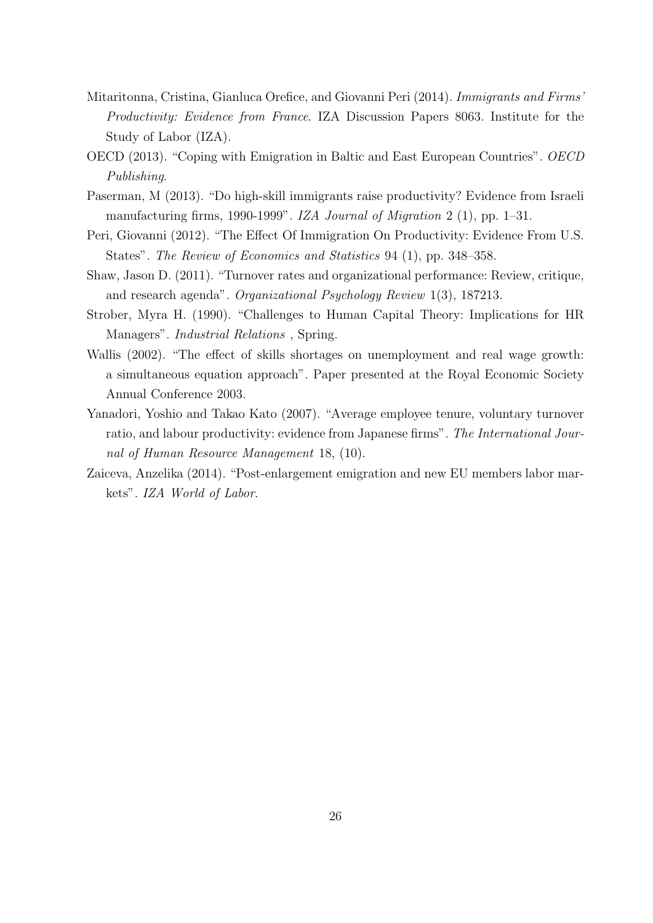- Mitaritonna, Cristina, Gianluca Orefice, and Giovanni Peri (2014). Immigrants and Firms' Productivity: Evidence from France. IZA Discussion Papers 8063. Institute for the Study of Labor (IZA).
- OECD (2013). "Coping with Emigration in Baltic and East European Countries". OECD Publishing.
- Paserman, M (2013). "Do high-skill immigrants raise productivity? Evidence from Israeli manufacturing firms, 1990-1999". IZA Journal of Migration 2 (1), pp. 1–31.
- Peri, Giovanni (2012). "The Effect Of Immigration On Productivity: Evidence From U.S. States". The Review of Economics and Statistics 94 (1), pp. 348–358.
- Shaw, Jason D. (2011). "Turnover rates and organizational performance: Review, critique, and research agenda". Organizational Psychology Review 1(3), 187213.
- Strober, Myra H. (1990). "Challenges to Human Capital Theory: Implications for HR Managers". *Industrial Relations*, Spring.
- Wallis (2002). "The effect of skills shortages on unemployment and real wage growth: a simultaneous equation approach". Paper presented at the Royal Economic Society Annual Conference 2003.
- Yanadori, Yoshio and Takao Kato (2007). "Average employee tenure, voluntary turnover ratio, and labour productivity: evidence from Japanese firms". The International Journal of Human Resource Management 18, (10).
- Zaiceva, Anzelika (2014). "Post-enlargement emigration and new EU members labor markets". IZA World of Labor.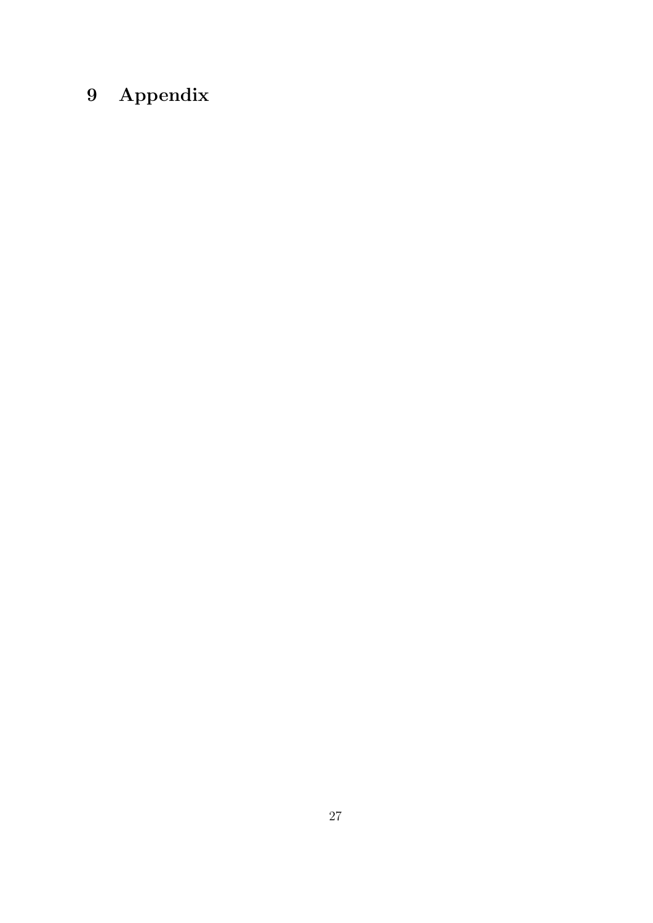# 9 Appendix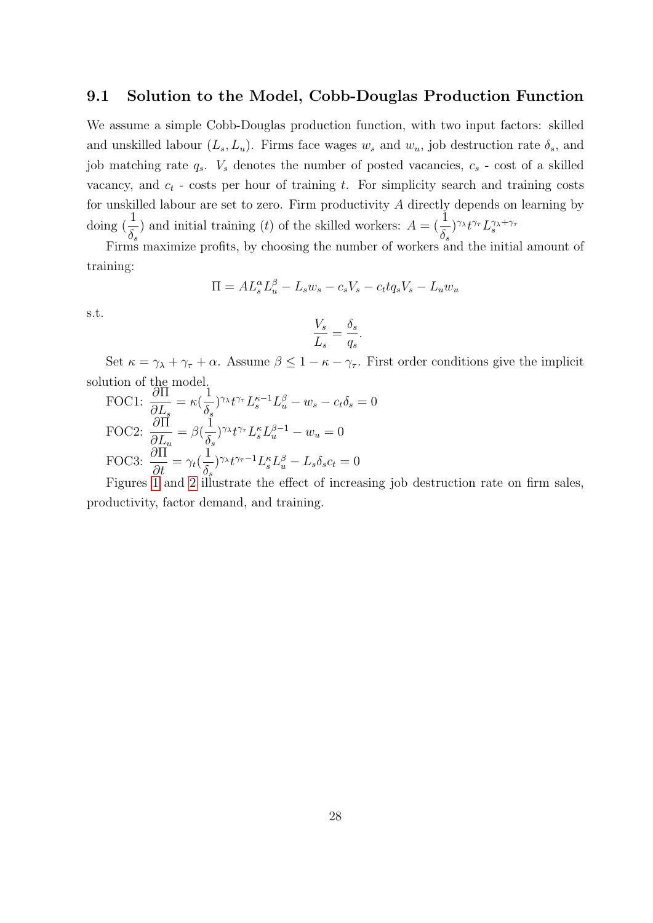#### 9.1 Solution to the Model, Cobb-Douglas Production Function

We assume a simple Cobb-Douglas production function, with two input factors: skilled and unskilled labour  $(L_s, L_u)$ . Firms face wages  $w_s$  and  $w_u$ , job destruction rate  $\delta_s$ , and job matching rate  $q_s$ .  $V_s$  denotes the number of posted vacancies,  $c_s$  - cost of a skilled vacancy, and  $c_t$  - costs per hour of training t. For simplicity search and training costs for unskilled labour are set to zero. Firm productivity A directly depends on learning by doing  $\left(\frac{1}{5}\right)$  $\delta_s$ ) and initial training (t) of the skilled workers:  $A = \left(\frac{1}{s}\right)$  $\delta_{s}$  $)^{\gamma_{\lambda}}t^{\gamma_{\tau}}L_{s}^{\gamma_{\lambda}+\gamma_{\tau}}$ 

Firms maximize profits, by choosing the number of workers and the initial amount of training:

$$
\Pi = AL_s^\alpha L_u^\beta - L_s w_s - c_s V_s - c_t t q_s V_s - L_u w_u
$$

s.t.

$$
\frac{V_s}{L_s} = \frac{\delta_s}{q_s}.
$$

Set  $\kappa = \gamma_{\lambda} + \gamma_{\tau} + \alpha$ . Assume  $\beta \leq 1 - \kappa - \gamma_{\tau}$ . First order conditions give the implicit solution of the model.

FOC1: 
$$
\frac{\partial \Pi}{\partial L_s} = \kappa (\frac{1}{\delta_s})^{\gamma_{\lambda}} t^{\gamma_{\tau}} L_s^{\kappa - 1} L_u^{\beta} - w_s - c_t \delta_s = 0
$$
  
FOC2: 
$$
\frac{\partial \Pi}{\partial L_u} = \beta (\frac{1}{\delta_s})^{\gamma_{\lambda}} t^{\gamma_{\tau}} L_s^{\kappa} L_u^{\beta - 1} - w_u = 0
$$
  
FOC3: 
$$
\frac{\partial \Pi}{\partial t} = \gamma_t (\frac{1}{\delta_s})^{\gamma_{\lambda}} t^{\gamma_{\tau} - 1} L_s^{\kappa} L_u^{\beta} - L_s \delta_s c_t = 0
$$

Figures [1](#page-28-0) and [2](#page-29-0) illustrate the effect of increasing job destruction rate on firm sales, productivity, factor demand, and training.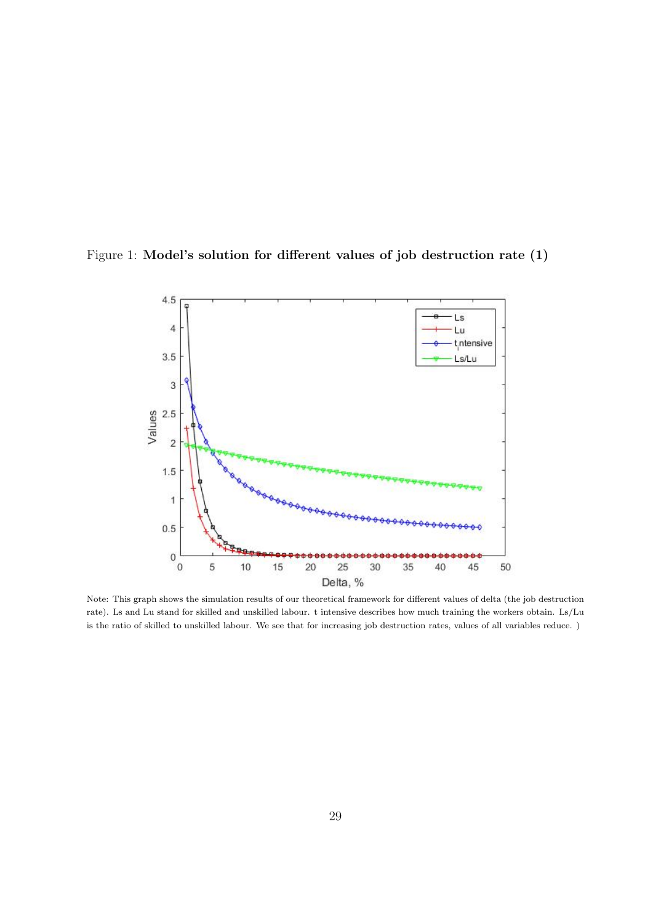<span id="page-28-0"></span>



Note: This graph shows the simulation results of our theoretical framework for different values of delta (the job destruction rate). Ls and Lu stand for skilled and unskilled labour. t intensive describes how much training the workers obtain. Ls/Lu is the ratio of skilled to unskilled labour. We see that for increasing job destruction rates, values of all variables reduce. )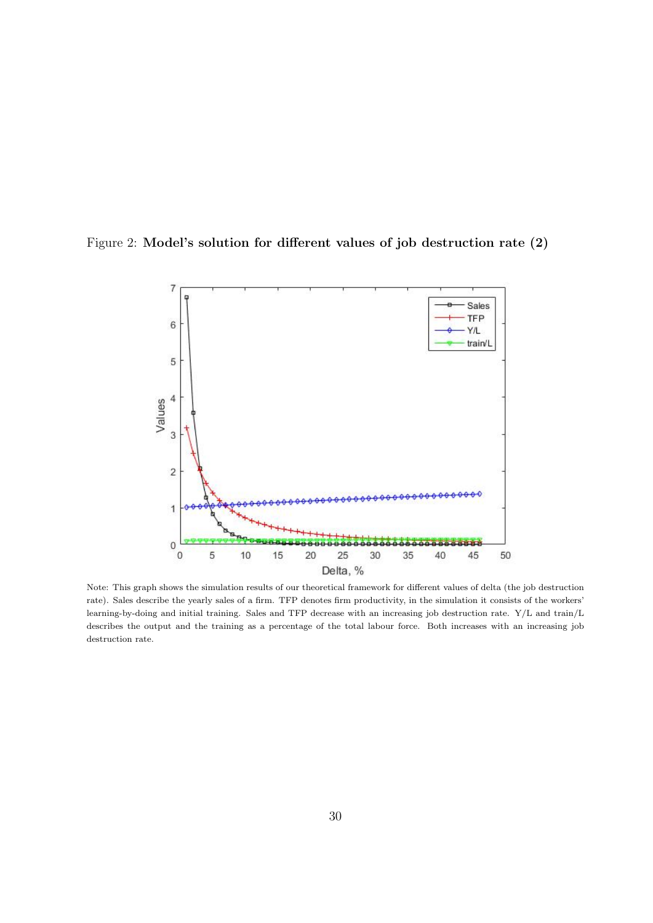<span id="page-29-0"></span>



Note: This graph shows the simulation results of our theoretical framework for different values of delta (the job destruction rate). Sales describe the yearly sales of a firm. TFP denotes firm productivity, in the simulation it consists of the workers' learning-by-doing and initial training. Sales and TFP decrease with an increasing job destruction rate. Y/L and train/L describes the output and the training as a percentage of the total labour force. Both increases with an increasing job destruction rate.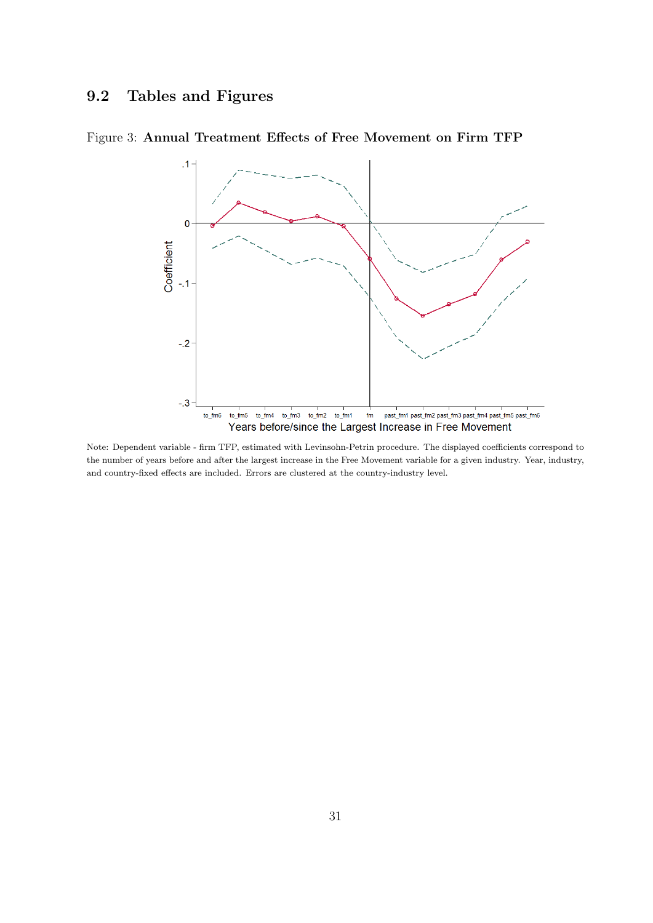# 9.2 Tables and Figures



Figure 3: Annual Treatment Effects of Free Movement on Firm TFP

Note: Dependent variable - firm TFP, estimated with Levinsohn-Petrin procedure. The displayed coefficients correspond to the number of years before and after the largest increase in the Free Movement variable for a given industry. Year, industry, and country-fixed effects are included. Errors are clustered at the country-industry level.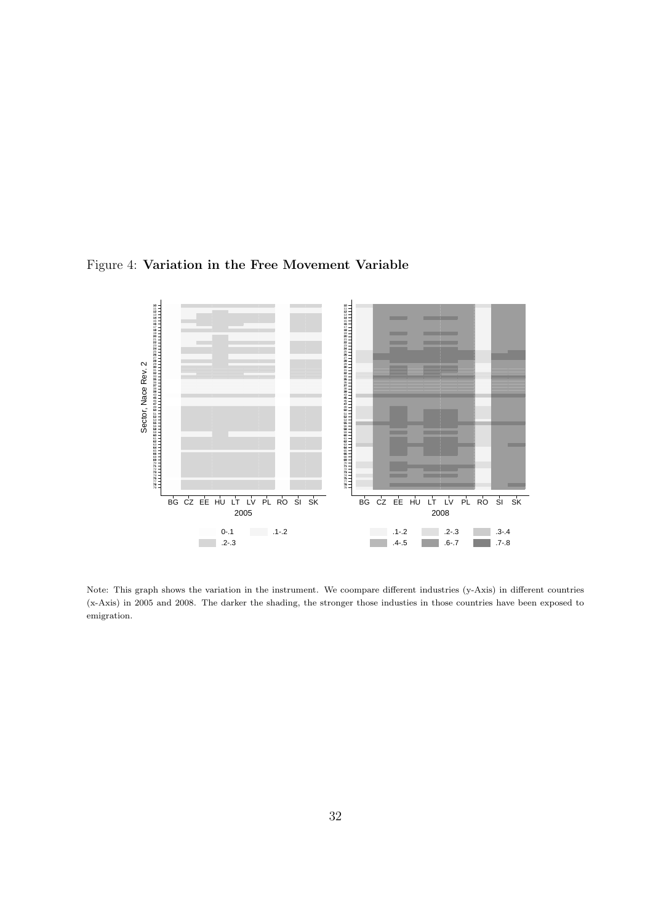<span id="page-31-0"></span>



Note: This graph shows the variation in the instrument. We coompare different industries (y-Axis) in different countries (x-Axis) in 2005 and 2008. The darker the shading, the stronger those industies in those countries have been exposed to emigration.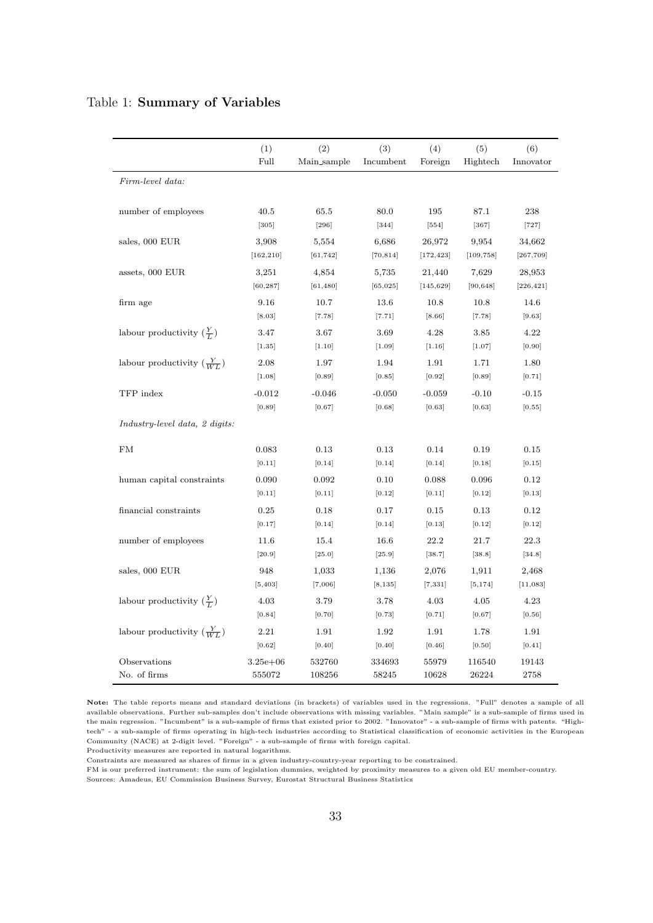#### <span id="page-32-0"></span>Table 1: Summary of Variables

|                                      | (1)                 | (2)                | (3)                | (4)                  | (5)                 | (6)                  |
|--------------------------------------|---------------------|--------------------|--------------------|----------------------|---------------------|----------------------|
|                                      | Full                | Main_sample        | Incumbent          | Foreign              | Hightech            | Innovator            |
| Firm-level data:                     |                     |                    |                    |                      |                     |                      |
|                                      |                     |                    |                    |                      |                     |                      |
| number of employees                  | 40.5<br>$[305]$     | 65.5<br>$[296]$    | 80.0<br>$[344]$    | 195<br>$[554]$       | 87.1<br>$[367]$     | 238<br>$[727]$       |
|                                      |                     |                    |                    |                      |                     |                      |
| sales, 000 EUR                       | 3,908<br>[162, 210] | 5,554<br>[61, 742] | 6,686<br>[70, 814] | 26,972<br>[172, 423] | 9,954<br>[109, 758] | 34,662<br>[267, 709] |
|                                      |                     |                    |                    |                      |                     |                      |
| assets, 000 EUR                      | 3,251<br>[60, 287]  | 4,854<br>[61, 480] | 5,735<br>[65, 025] | 21,440<br>[145, 629] | 7,629<br>[90, 648]  | 28,953<br>[226, 421] |
|                                      |                     |                    |                    |                      |                     |                      |
| firm age                             | 9.16                | 10.7               | 13.6               | 10.8                 | 10.8                | 14.6<br>[9.63]       |
|                                      | [8.03]              | [7.78]             | [7.71]             | [8.66]               | [7.78]              |                      |
| labour productivity $(\frac{Y}{L})$  | 3.47                | 3.67               | 3.69<br>$[1.09]$   | 4.28                 | 3.85<br>[1.07]      | 4.22<br>[0.90]       |
|                                      | [1.35]              | [1.10]             |                    | [1.16]               |                     |                      |
| labour productivity $(\frac{Y}{WL})$ | 2.08<br>[1.08]      | 1.97               | 1.94               | 1.91<br>[0.92]       | 1.71                | 1.80                 |
|                                      |                     | [0.89]             | [0.85]             |                      | [0.89]              | [0.71]               |
| TFP index                            | $-0.012$            | $-0.046$           | $-0.050$           | $-0.059$             | $-0.10$             | $-0.15$              |
|                                      | [0.89]              | [0.67]             | [0.68]             | [0.63]               | [0.63]              | [0.55]               |
| Industry-level data, 2 digits:       |                     |                    |                    |                      |                     |                      |
| FM                                   | 0.083               | 0.13               | 0.13               | 0.14                 | 0.19                | 0.15                 |
|                                      | [0.11]              | [0.14]             | [0.14]             | [0.14]               | [0.18]              | [0.15]               |
| human capital constraints            | 0.090               | 0.092              | 0.10               | 0.088                | 0.096               | 0.12                 |
|                                      | [0.11]              | [0.11]             | [0.12]             | [0.11]               | [0.12]              | [0.13]               |
| financial constraints                | 0.25                | 0.18               | 0.17               | 0.15                 | 0.13                | 0.12                 |
|                                      | [0.17]              | [0.14]             | [0.14]             | [0.13]               | [0.12]              | [0.12]               |
| number of employees                  | 11.6                | 15.4               | 16.6               | 22.2                 | 21.7                | 22.3                 |
|                                      | $[20.9]$            | $[25.0]$           | $[25.9]$           | [38.7]               | [38.8]              | [34.8]               |
| sales, 000 EUR                       | 948                 | 1,033              | 1,136              | 2,076                | 1,911               | 2,468                |
|                                      | [5, 403]            | [7,006]            | [8, 135]           | [7, 331]             | [5, 174]            | [11,083]             |
| labour productivity $(\frac{Y}{L})$  | 4.03                | 3.79               | 3.78               | 4.03                 | 4.05                | 4.23                 |
|                                      | [0.84]              | [0.70]             | [0.73]             | [0.71]               | [0.67]              | [0.56]               |
| labour productivity $(\frac{Y}{WL})$ | 2.21                | 1.91               | 1.92               | 1.91                 | 1.78                | 1.91                 |
|                                      | [0.62]              | [0.40]             | [0.40]             | [0.46]               | [0.50]              | [0.41]               |
| Observations                         | $3.25e + 06$        | 532760             | 334693             | 55979                | 116540              | 19143                |
| No. of firms                         | 555072              | 108256             | 58245              | 10628                | 26224               | 2758                 |

Note: The table reports means and standard deviations (in brackets) of variables used in the regressions. "Full" denotes a sample of all available observations. Further sub-samples don't include observations with missing variables. "Main sample" is a sub-sample of firms used in the main regression. "Incumbent" is a sub-sample of firms that existed prior to 2002. "Innovator" - a sub-sample of firms with patents. "Hightech" - a sub-sample of firms operating in high-tech industries according to Statistical classification of economic activities in the European Community (NACE) at 2-digit level. "Foreign" - a sub-sample of firms with foreign capital.

Productivity measures are reported in natural logarithms.

Constraints are measured as shares of firms in a given industry-country-year reporting to be constrained.

FM is our preferred instrument: the sum of legislation dummies, weighted by proximity measures to a given old EU member-country. Sources: Amadeus, EU Commission Business Survey, Eurostat Structural Business Statistics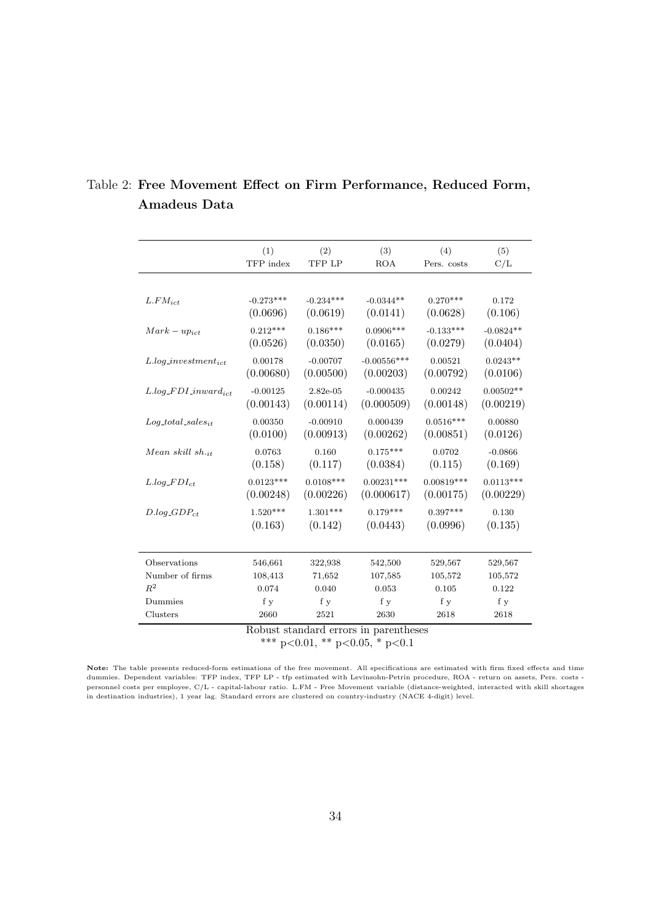|                                | (1)         | (2)         | (3)                                   | (4)          | (5)         |
|--------------------------------|-------------|-------------|---------------------------------------|--------------|-------------|
|                                | TFP index   | TFP LP      | <b>ROA</b>                            | Pers. costs  | C/L         |
|                                |             |             |                                       |              |             |
| $L.FM_{ict}$                   | $-0.273***$ | $-0.234***$ | $-0.0344**$                           | $0.270***$   | 0.172       |
|                                | (0.0696)    | (0.0619)    | (0.0141)                              | (0.0628)     | (0.106)     |
| $Mark-up_{ict}$                | $0.212***$  | $0.186***$  | $0.0906***$                           | $-0.133***$  | $-0.0824**$ |
|                                | (0.0526)    | (0.0350)    | (0.0165)                              | (0.0279)     | (0.0404)    |
| $L.log\_investment_{ict}$      | 0.00178     | $-0.00707$  | $-0.00556***$                         | 0.00521      | $0.0243**$  |
|                                | (0.00680)   | (0.00500)   | (0.00203)                             | (0.00792)    | (0.0106)    |
| $L.log\_FDI\_inward_{ict}$     | $-0.00125$  | $2.82e-05$  | $-0.000435$                           | 0.00242      | $0.00502**$ |
|                                | (0.00143)   | (0.00114)   | (0.000509)                            | (0.00148)    | (0.00219)   |
| $Log\_total\_sales_{it}$       | 0.00350     | $-0.00910$  | 0.000439                              | $0.0516***$  | 0.00880     |
|                                | (0.0100)    | (0.00913)   | (0.00262)                             | (0.00851)    | (0.0126)    |
| Mean skill $sh.$ <sub>it</sub> | 0.0763      | 0.160       | $0.175***$                            | 0.0702       | $-0.0866$   |
|                                | (0.158)     | (0.117)     | (0.0384)                              | (0.115)      | (0.169)     |
| $L.log\_FDI_{ct}$              | $0.0123***$ | $0.0108***$ | $0.00231***$                          | $0.00819***$ | $0.0113***$ |
|                                | (0.00248)   | (0.00226)   | (0.000617)                            | (0.00175)    | (0.00229)   |
| $D.log\_GDP_{ct}$              | $1.520***$  | $1.301***$  | $0.179***$                            | $0.397***$   | 0.130       |
|                                | (0.163)     | (0.142)     | (0.0443)                              | (0.0996)     | (0.135)     |
|                                |             |             |                                       |              |             |
| Observations                   | 546,661     | 322,938     | 542,500                               | 529,567      | 529,567     |
| Number of firms                | 108,413     | 71,652      | 107,585                               | 105,572      | 105,572     |
| $R^2$                          | 0.074       | 0.040       | 0.053                                 | 0.105        | 0.122       |
| Dummies                        | f y         | f y         | f y                                   | f y          | f y         |
| Clusters                       | 2660        | 2521        | 2630                                  | 2618         | 2618        |
|                                |             |             | Robust standard errors in parentheses |              |             |

## <span id="page-33-0"></span>Table 2: Free Movement Effect on Firm Performance, Reduced Form, Amadeus Data

Robust standard errors in parentheses

\*\*\* p<0.01, \*\* p<0.05, \* p<0.1

Note: The table presents reduced-form estimations of the free movement. All specifications are estimated with firm fixed effects and time dummies. Dependent variables: TFP index, TFP LP - tfp estimated with Levinsohn-Petrin procedure, ROA - return on assets, Pers. costs personnel costs per employee, C/L - capital-labour ratio. L.FM - Free Movement variable (distance-weighted, interacted with skill shortages in destination industries), 1 year lag. Standard errors are clustered on country-industry (NACE 4-digit) level.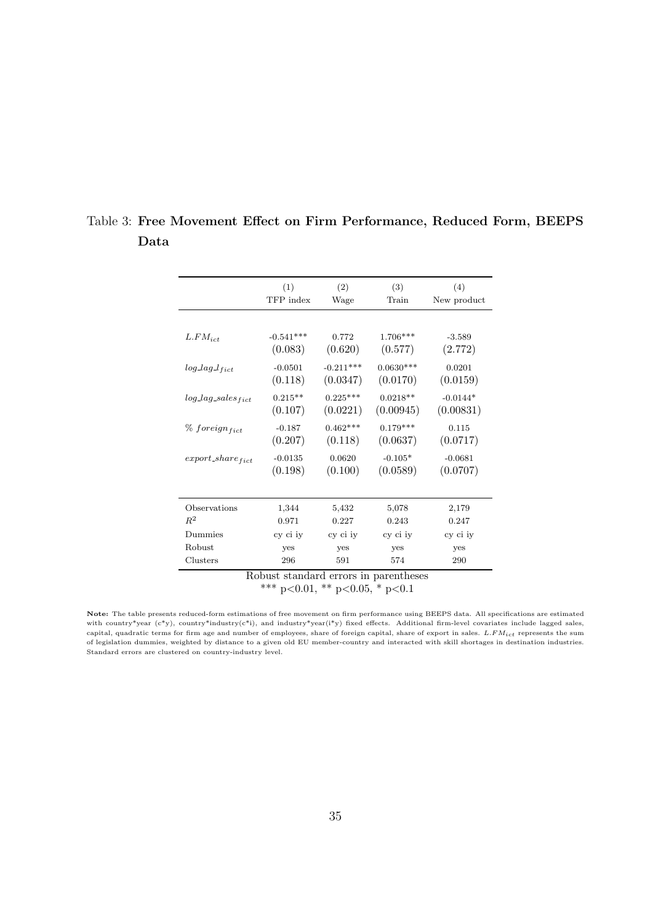|                                       | (1)<br>TFP index       | (2)<br>Wage             | (3)<br>Train            | (4)<br>New product      |
|---------------------------------------|------------------------|-------------------------|-------------------------|-------------------------|
|                                       |                        |                         |                         |                         |
| $L.FM_{ict}$                          | $-0.541***$<br>(0.083) | 0.772<br>(0.620)        | 1.706***<br>(0.577)     | $-3.589$<br>(2.772)     |
| $log\_lag\_l_{fict}$                  | $-0.0501$<br>(0.118)   | $-0.211***$<br>(0.0347) | $0.0630***$<br>(0.0170) | 0.0201<br>(0.0159)      |
| $log\_lag\_sales_{fict}$              | $0.215**$<br>(0.107)   | $0.225***$<br>(0.0221)  | $0.0218**$<br>(0.00945) | $-0.0144*$<br>(0.00831) |
| $%$ foreign <sub>fict</sub>           | $-0.187$<br>(0.207)    | $0.462***$<br>(0.118)   | $0.179***$<br>(0.0637)  | 0.115<br>(0.0717)       |
| $export\_share_{fict}$                | $-0.0135$<br>(0.198)   | 0.0620<br>(0.100)       | $-0.105*$<br>(0.0589)   | $-0.0681$<br>(0.0707)   |
| Observations                          |                        | 5,432                   |                         | 2,179                   |
| $R^2$                                 | 1,344<br>0.971         | 0.227                   | 5,078<br>0.243          | 0.247                   |
| Dummies                               | cy ci iy               | cy ci iy                | cy ci iy                | cy ci iy                |
| Robust                                | yes                    | yes                     | yes                     | yes                     |
| Clusters                              | 296                    | 591                     | 574                     | 290                     |
| Robust standard errors in parentheses |                        |                         |                         |                         |

<span id="page-34-0"></span>Table 3: Free Movement Effect on Firm Performance, Reduced Form, BEEPS Data

Robust standard errors in parentheses \*\*\* p<0.01, \*\* p<0.05, \* p<0.1

Note: The table presents reduced-form estimations of free movement on firm performance using BEEPS data. All specifications are estimated with country\*year (c\*y), country\*industry(c\*i), and industry\*year(i\*y) fixed effects. Additional firm-level covariates include lagged sales, capital, quadratic terms for firm age and number of employees, share of foreign capital, share of export in sales.  $L.FM_{ict}$  represents the sum of legislation dummies, weighted by distance to a given old EU member-country and interacted with skill shortages in destination industries. Standard errors are clustered on country-industry level.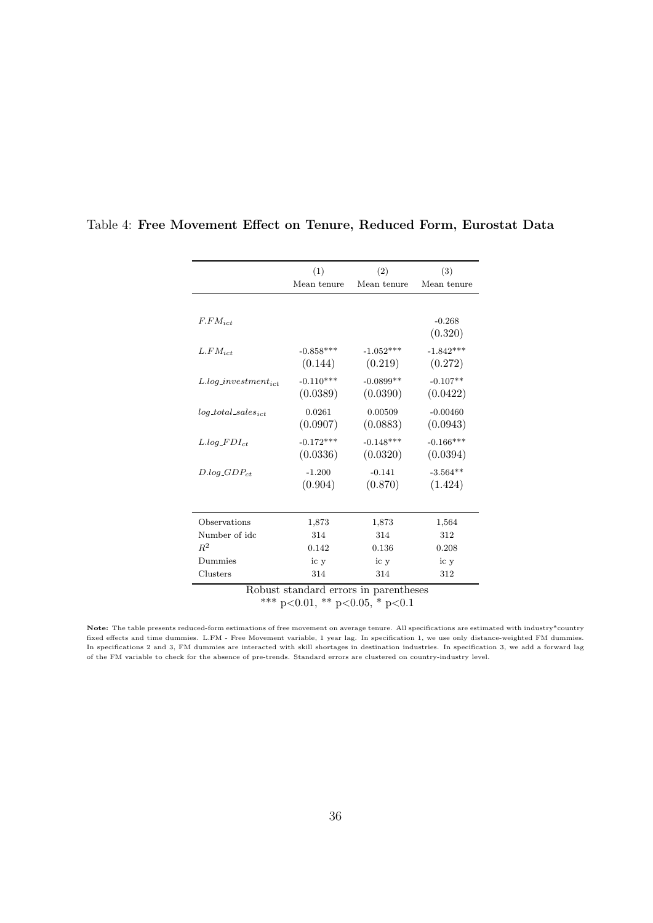|                           | (1)         | (2)         | (3)         |
|---------------------------|-------------|-------------|-------------|
|                           | Mean tenure | Mean tenure | Mean tenure |
|                           |             |             |             |
| $F.FM_{ict}$              |             |             | $-0.268$    |
|                           |             |             | (0.320)     |
| $L.FM_{ict}$              | $-0.858***$ | $-1.052***$ | $-1.842***$ |
|                           | (0.144)     | (0.219)     | (0.272)     |
| $L.log\_investment_{ict}$ | $-0.110***$ | $-0.0899**$ | $-0.107**$  |
|                           | (0.0389)    | (0.0390)    | (0.0422)    |
| $log\_total\_sales_{ict}$ | 0.0261      | 0.00509     | $-0.00460$  |
|                           | (0.0907)    | (0.0883)    | (0.0943)    |
| $L.log\_FDI_{ct}$         | $-0.172***$ | $-0.148***$ | $-0.166***$ |
|                           | (0.0336)    | (0.0320)    | (0.0394)    |
| $D.log\_GDP_{ct}$         | $-1.200$    | $-0.141$    | $-3.564**$  |
|                           | (0.904)     | (0.870)     | (1.424)     |
|                           |             |             |             |
| Observations              | 1,873       | 1,873       | 1,564       |
| Number of idc             | 314         | 314         | 312         |
| $R^2$                     | 0.142       | 0.136       | 0.208       |
| Dummies                   | ic y        | ic y        | ic y        |
| Clusters                  | 314         | 314         | 312         |

#### <span id="page-35-0"></span>Table 4: Free Movement Effect on Tenure, Reduced Form, Eurostat Data

Robust standard errors in parentheses

\*\*\* p<0.01, \*\* p<0.05, \* p<0.1

Note: The table presents reduced-form estimations of free movement on average tenure. All specifications are estimated with industry\*country fixed effects and time dummies. L.FM - Free Movement variable, 1 year lag. In specification 1, we use only distance-weighted FM dummies. In specifications 2 and 3, FM dummies are interacted with skill shortages in destination industries. In specification 3, we add a forward lag of the FM variable to check for the absence of pre-trends. Standard errors are clustered on country-industry level.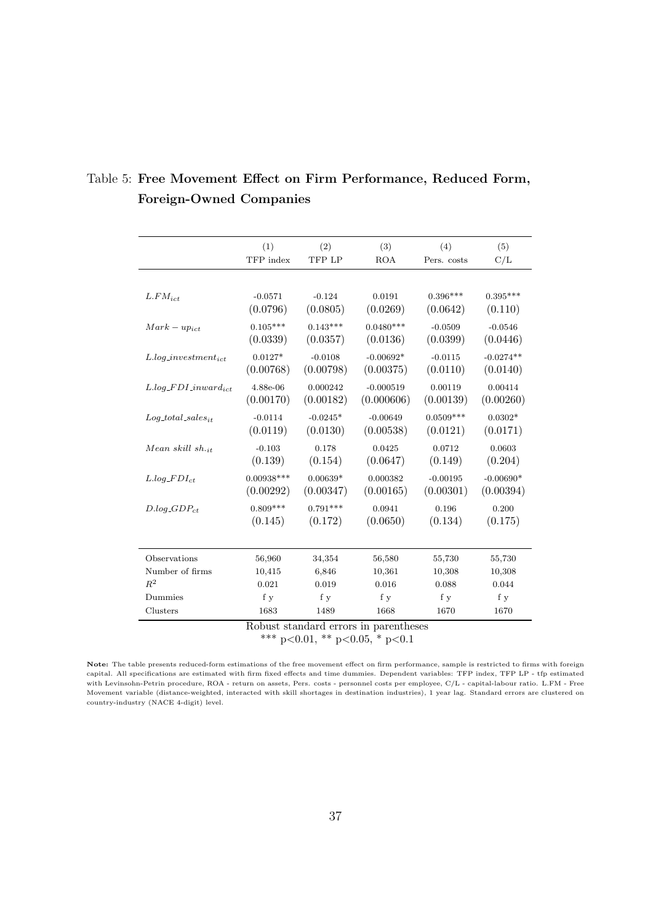|                             | (1)          | (2)        | (3)         | (4)         | (5)         |
|-----------------------------|--------------|------------|-------------|-------------|-------------|
|                             | TFP index    | TFP LP     | <b>ROA</b>  | Pers. costs | C/L         |
|                             |              |            |             |             |             |
|                             |              |            |             |             |             |
| $L.FM_{ict}$                | $-0.0571$    | $-0.124$   | 0.0191      | $0.396***$  | $0.395***$  |
|                             | (0.0796)     | (0.0805)   | (0.0269)    | (0.0642)    | (0.110)     |
| $Mark-up_{ict}$             | $0.105***$   | $0.143***$ | $0.0480***$ | $-0.0509$   | $-0.0546$   |
|                             | (0.0339)     | (0.0357)   | (0.0136)    | (0.0399)    | (0.0446)    |
| $L.log\_investment_{ict}$   | $0.0127*$    | $-0.0108$  | $-0.00692*$ | $-0.0115$   | $-0.0274**$ |
|                             | (0.00768)    | (0.00798)  | (0.00375)   | (0.0110)    | (0.0140)    |
| $L.log\_FDI\_inward_{ict}$  | 4.88e-06     | 0.000242   | $-0.000519$ | 0.00119     | 0.00414     |
|                             | (0.00170)    | (0.00182)  | (0.000606)  | (0.00139)   | (0.00260)   |
|                             |              |            |             |             |             |
| $Log\_total\_sales_{it}$    | $-0.0114$    | $-0.0245*$ | $-0.00649$  | $0.0509***$ | $0.0302*$   |
|                             | (0.0119)     | (0.0130)   | (0.00538)   | (0.0121)    | (0.0171)    |
| Mean skill $sh_{\cdot i t}$ | $-0.103$     | 0.178      | 0.0425      | 0.0712      | 0.0603      |
|                             | (0.139)      | (0.154)    | (0.0647)    | (0.149)     | (0.204)     |
| $L.log\_FDI_{ct}$           | $0.00938***$ | $0.00639*$ | 0.000382    | $-0.00195$  | $-0.00690*$ |
|                             | (0.00292)    | (0.00347)  | (0.00165)   | (0.00301)   | (0.00394)   |
|                             | $0.809***$   | $0.791***$ | 0.0941      | 0.196       | 0.200       |
| $D.log\_GDP_{ct}$           | (0.145)      |            |             |             |             |
|                             |              | (0.172)    | (0.0650)    | (0.134)     | (0.175)     |
|                             |              |            |             |             |             |
| Observations                | 56,960       | 34,354     | 56,580      | 55,730      | 55,730      |
| Number of firms             | 10,415       | 6,846      | 10,361      | 10,308      | 10,308      |
| $R^2$                       | 0.021        | 0.019      | 0.016       | 0.088       | 0.044       |
| Dummies                     | f y          | f y        | f y         | f y         | f y         |
| Clusters                    | 1683         | 1489       | 1668        | 1670        | 1670        |
|                             |              |            |             |             |             |

## <span id="page-36-0"></span>Table 5: Free Movement Effect on Firm Performance, Reduced Form, Foreign-Owned Companies

Robust standard errors in parentheses

\*\*\* p<0.01, \*\* p<0.05, \* p<0.1

Note: The table presents reduced-form estimations of the free movement effect on firm performance, sample is restricted to firms with foreign capital. All specifications are estimated with firm fixed effects and time dummies. Dependent variables: TFP index, TFP LP - tfp estimated with Levinsohn-Petrin procedure, ROA - return on assets, Pers. costs - personnel costs per employee, C/L - capital-labour ratio. L.FM - Free Movement variable (distance-weighted, interacted with skill shortages in destination industries), 1 year lag. Standard errors are clustered on country-industry (NACE 4-digit) level.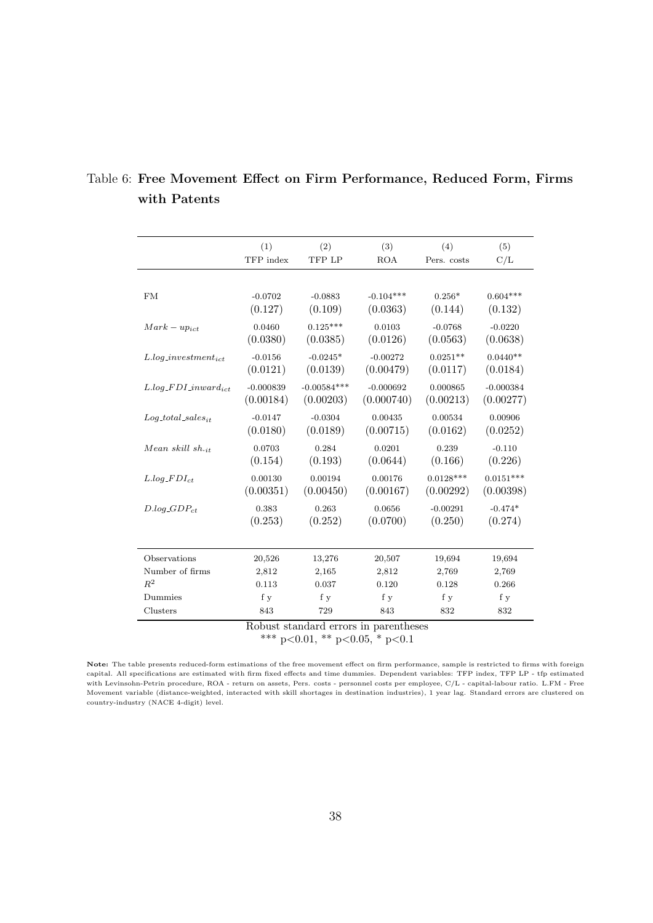|                            | (1)         | (2)           | (3)         | (4)         | (5)         |
|----------------------------|-------------|---------------|-------------|-------------|-------------|
|                            | TFP index   | TFP LP        | <b>ROA</b>  | Pers. costs | C/L         |
|                            |             |               |             |             |             |
| FM                         | $-0.0702$   | $-0.0883$     | $-0.104***$ | $0.256*$    | $0.604***$  |
|                            | (0.127)     | (0.109)       | (0.0363)    | (0.144)     | (0.132)     |
| $Mark-up_{ict}$            | 0.0460      | $0.125***$    | 0.0103      | $-0.0768$   | $-0.0220$   |
|                            | (0.0380)    | (0.0385)      | (0.0126)    | (0.0563)    | (0.0638)    |
| $L.log\_investment_{ict}$  | $-0.0156$   | $-0.0245*$    | $-0.00272$  | $0.0251**$  | $0.0440**$  |
|                            | (0.0121)    | (0.0139)      | (0.00479)   | (0.0117)    | (0.0184)    |
| $L.log\_FDI\_inward_{ict}$ | $-0.000839$ | $-0.00584***$ | $-0.000692$ | 0.000865    | $-0.000384$ |
|                            | (0.00184)   | (0.00203)     | (0.000740)  | (0.00213)   | (0.00277)   |
| $Log\_total\_sales_{it}$   | $-0.0147$   | $-0.0304$     | 0.00435     | 0.00534     | 0.00906     |
|                            | (0.0180)    | (0.0189)      | (0.00715)   | (0.0162)    | (0.0252)    |
| Mean skill sh. $_{it}$     | 0.0703      | 0.284         | 0.0201      | 0.239       | $-0.110$    |
|                            | (0.154)     | (0.193)       | (0.0644)    | (0.166)     | (0.226)     |
| $L.log\_FDI_{ct}$          | 0.00130     | 0.00194       | 0.00176     | $0.0128***$ | $0.0151***$ |
|                            | (0.00351)   | (0.00450)     | (0.00167)   | (0.00292)   | (0.00398)   |
| $D.log\_GDP_{ct}$          | 0.383       | 0.263         | 0.0656      | $-0.00291$  | $-0.474*$   |
|                            | (0.253)     | (0.252)       | (0.0700)    | (0.250)     | (0.274)     |
|                            |             |               |             |             |             |
| Observations               | 20,526      | 13,276        | 20,507      | 19,694      | 19,694      |
| Number of firms            | 2,812       | 2,165         | 2,812       | 2,769       | 2,769       |
| $R^2$                      | 0.113       | 0.037         | 0.120       | 0.128       | 0.266       |
| Dummies                    | f y         | f y           | f y         | f y         | f y         |
| Clusters                   | 843         | 729           | 843         | 832         | 832         |

### <span id="page-37-0"></span>Table 6: Free Movement Effect on Firm Performance, Reduced Form, Firms with Patents

Robust standard errors in parentheses

\*\*\* p<0.01, \*\* p<0.05, \* p<0.1

Note: The table presents reduced-form estimations of the free movement effect on firm performance, sample is restricted to firms with foreign capital. All specifications are estimated with firm fixed effects and time dummies. Dependent variables: TFP index, TFP LP - tfp estimated with Levinsohn-Petrin procedure, ROA - return on assets, Pers. costs - personnel costs per employee, C/L - capital-labour ratio. L.FM - Free Movement variable (distance-weighted, interacted with skill shortages in destination industries), 1 year lag. Standard errors are clustered on country-industry (NACE 4-digit) level.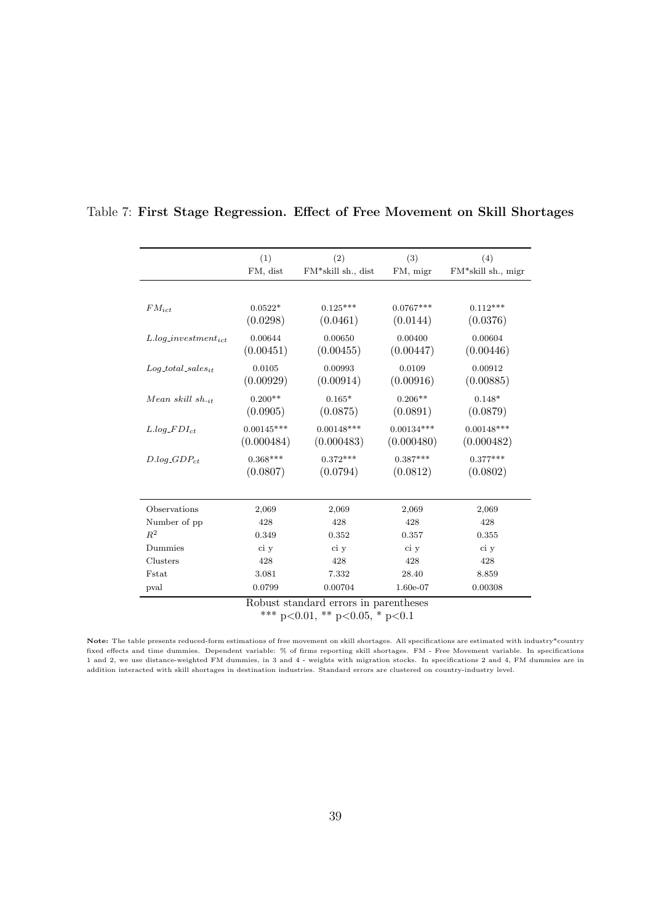|                           | (1)          | (2)                | (3)          | (4)                |
|---------------------------|--------------|--------------------|--------------|--------------------|
|                           | FM, dist     | FM*skill sh., dist | FM, migr     | FM*skill sh., migr |
|                           |              |                    |              |                    |
|                           |              |                    |              |                    |
| $FM_{ict}$                | $0.0522*$    | $0.125***$         | $0.0767***$  | $0.112***$         |
|                           | (0.0298)     | (0.0461)           | (0.0144)     | (0.0376)           |
| $L.log\_investment_{ict}$ | 0.00644      | 0.00650            | 0.00400      | 0.00604            |
|                           | (0.00451)    | (0.00455)          | (0.00447)    | (0.00446)          |
| $Log\_total\_sales_{it}$  | 0.0105       | 0.00993            | 0.0109       | 0.00912            |
|                           | (0.00929)    | (0.00914)          | (0.00916)    | (0.00885)          |
|                           |              |                    |              |                    |
| Mean skill sh. $_{it}$    | $0.200**$    | $0.165*$           | $0.206**$    | $0.148*$           |
|                           | (0.0905)     | (0.0875)           | (0.0891)     | (0.0879)           |
| $L.log\_FDI_{ct}$         | $0.00145***$ | $0.00148***$       | $0.00134***$ | $0.00148***$       |
|                           | (0.000484)   | (0.000483)         | (0.000480)   | (0.000482)         |
| $D.log\_GDP_{ct}$         | $0.368***$   | $0.372***$         | $0.387***$   | $0.377***$         |
|                           | (0.0807)     | (0.0794)           | (0.0812)     | (0.0802)           |
|                           |              |                    |              |                    |
| Observations              | 2,069        | 2,069              | 2,069        | 2,069              |
| Number of pp              | 428          | 428                | 428          | 428                |
| $R^2$                     | 0.349        | 0.352              | 0.357        | 0.355              |
| Dummies                   | ci y         | ci y               | ci y         | ci y               |
| Clusters                  | 428          | 428                | 428          | 428                |
| <b>Fstat</b>              | 3.081        | 7.332              | 28.40        | 8.859              |
| pval                      | 0.0799       | 0.00704            | 1.60e-07     | 0.00308            |
|                           |              |                    | $\mathbf{I}$ |                    |

<span id="page-38-0"></span>Table 7: First Stage Regression. Effect of Free Movement on Skill Shortages

Robust standard errors in parentheses

\*\*\* p<0.01, \*\* p<0.05, \* p<0.1

Note: The table presents reduced-form estimations of free movement on skill shortages. All specifications are estimated with industry\*country fixed effects and time dummies. Dependent variable: % of firms reporting skill shortages. FM - Free Movement variable. In specifications 1 and 2, we use distance-weighted FM dummies, in 3 and 4 - weights with migration stocks. In specifications 2 and 4, FM dummies are in addition interacted with skill shortages in destination industries. Standard errors are clustered on country-industry level.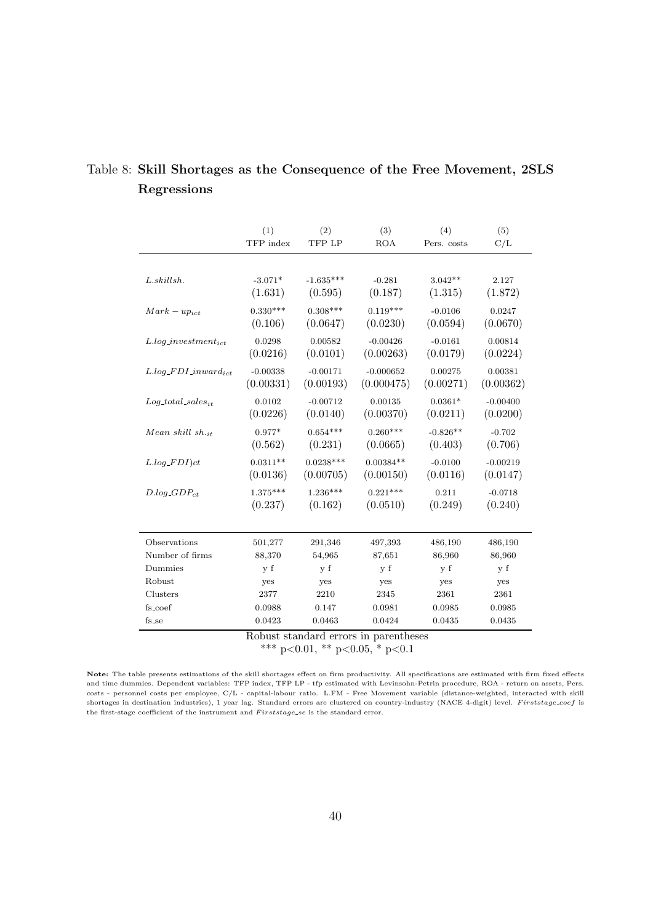|                                | (1)        | (2)         | (3)         | (4)         | (5)        |
|--------------------------------|------------|-------------|-------------|-------------|------------|
|                                | TFP index  | TFP LP      | <b>ROA</b>  | Pers. costs | C/L        |
|                                |            |             |             |             |            |
| $L.$ skillsh.                  | $-3.071*$  | $-1.635***$ | $-0.281$    | $3.042**$   | 2.127      |
|                                | (1.631)    | (0.595)     | (0.187)     | (1.315)     | (1.872)    |
| $Mark-up_{ict}$                | $0.330***$ | $0.308***$  | $0.119***$  | $-0.0106$   | 0.0247     |
|                                | (0.106)    | (0.0647)    | (0.0230)    | (0.0594)    | (0.0670)   |
| $L.log\_investment_{ict}$      | 0.0298     | 0.00582     | $-0.00426$  | $-0.0161$   | 0.00814    |
|                                | (0.0216)   | (0.0101)    | (0.00263)   | (0.0179)    | (0.0224)   |
| $L.log\_FDI\_inward_{ict}$     | $-0.00338$ | $-0.00171$  | $-0.000652$ | 0.00275     | 0.00381    |
|                                | (0.00331)  | (0.00193)   | (0.000475)  | (0.00271)   | (0.00362)  |
| $Log\_total\_sales_{it}$       | 0.0102     | $-0.00712$  | 0.00135     | $0.0361*$   | $-0.00400$ |
|                                | (0.0226)   | (0.0140)    | (0.00370)   | (0.0211)    | (0.0200)   |
| Mean skill $sh.$ <sub>it</sub> | $0.977*$   | $0.654***$  | $0.260***$  | $-0.826**$  | $-0.702$   |
|                                | (0.562)    | (0.231)     | (0.0665)    | (0.403)     | (0.706)    |
| $L.log\_FDI)ct$                | $0.0311**$ | $0.0238***$ | $0.00384**$ | $-0.0100$   | $-0.00219$ |
|                                | (0.0136)   | (0.00705)   | (0.00150)   | (0.0116)    | (0.0147)   |
| $D.log\_GDP_{ct}$              | $1.375***$ | $1.236***$  | $0.221***$  | 0.211       | $-0.0718$  |
|                                | (0.237)    | (0.162)     | (0.0510)    | (0.249)     | (0.240)    |
| Observations                   | 501,277    | 291,346     | 497,393     | 486,190     | 486,190    |
| Number of firms                | 88,370     | 54,965      | 87,651      | 86,960      | 86,960     |
| Dummies                        | y f        | y f         | y f         | y f         | y f        |
| Robust                         | yes        | yes         | yes         | yes         | yes        |
| Clusters                       | 2377       | 2210        | 2345        | 2361        | 2361       |
| fs_coef                        | 0.0988     | 0.147       | 0.0981      | 0.0985      | 0.0985     |
| fs_se                          | 0.0423     | 0.0463      | 0.0424      | 0.0435      | 0.0435     |

# <span id="page-39-0"></span>Table 8: Skill Shortages as the Consequence of the Free Movement, 2SLS Regressions

Robust standard errors in parentheses

\*\*\* p<0.01, \*\* p<0.05, \* p<0.1

Note: The table presents estimations of the skill shortages effect on firm productivity. All specifications are estimated with firm fixed effects and time dummies. Dependent variables: TFP index, TFP LP - tfp estimated with Levinsohn-Petrin procedure, ROA - return on assets, Pers. costs - personnel costs per employee, C/L - capital-labour ratio. L.FM - Free Movement variable (distance-weighted, interacted with skill shortages in destination industries), 1 year lag. Standard errors are clustered on country-industry (NACE 4-digit) level. Firststage\_coef is the first-stage coefficient of the instrument and Firststage se is the standard error.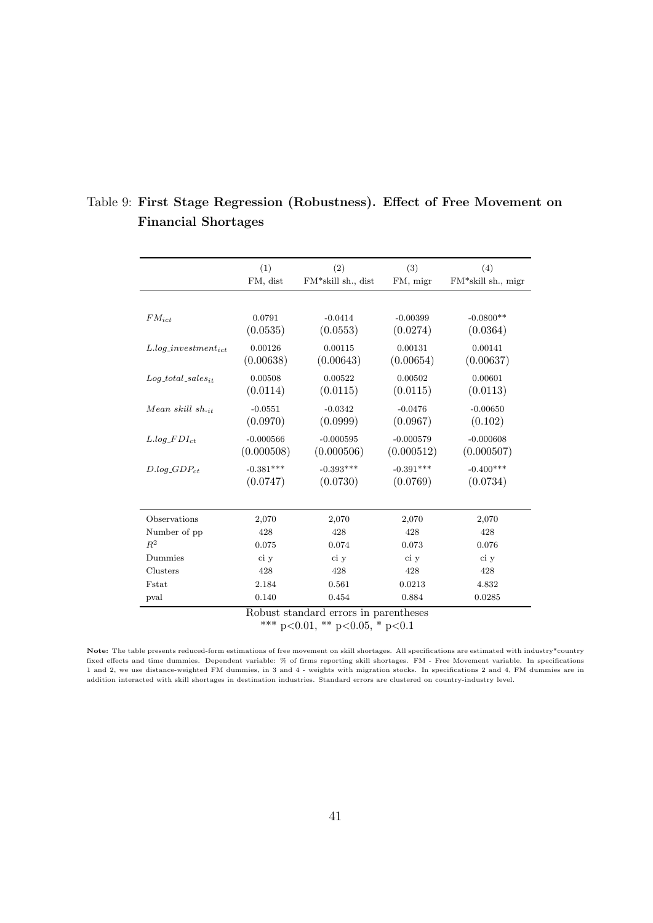|                           | (1)         | (2)                                   | (3)         | (4)                |
|---------------------------|-------------|---------------------------------------|-------------|--------------------|
|                           | FM, dist    | FM*skill sh., dist                    | FM, migr    | FM*skill sh., migr |
|                           |             |                                       |             |                    |
| $FM_{ict}$                | 0.0791      | $-0.0414$                             | $-0.00399$  | $-0.0800**$        |
|                           | (0.0535)    | (0.0553)                              | (0.0274)    | (0.0364)           |
| $L.log\_investment_{ict}$ | 0.00126     | 0.00115                               | 0.00131     | 0.00141            |
|                           | (0.00638)   | (0.00643)                             | (0.00654)   | (0.00637)          |
| $Log\_total\_sales_{it}$  | 0.00508     | 0.00522                               | 0.00502     | 0.00601            |
|                           | (0.0114)    | (0.0115)                              | (0.0115)    | (0.0113)           |
| Mean skill sh. $_{it}$    | $-0.0551$   | $-0.0342$                             | $-0.0476$   | $-0.00650$         |
|                           | (0.0970)    | (0.0999)                              | (0.0967)    | (0.102)            |
| $L.log\_FDI_{ct}$         | $-0.000566$ | $-0.000595$                           | $-0.000579$ | $-0.000608$        |
|                           | (0.000508)  | (0.000506)                            | (0.000512)  | (0.000507)         |
| $D.log\_GDP_{ct}$         | $-0.381***$ | $-0.393***$                           | $-0.391***$ | $-0.400***$        |
|                           | (0.0747)    | (0.0730)                              | (0.0769)    | (0.0734)           |
|                           |             |                                       |             |                    |
| Observations              | 2,070       | 2,070                                 | 2,070       | 2,070              |
| Number of pp              | 428         | 428                                   | 428         | 428                |
| $R^2$                     | 0.075       | 0.074                                 | 0.073       | 0.076              |
| Dummies                   | ci y        | ci y                                  | ci y        | ci y               |
| Clusters                  | 428         | 428                                   | 428         | 428                |
| Fstat                     | 2.184       | 0.561                                 | 0.0213      | 4.832              |
| pval                      | 0.140       | 0.454                                 | 0.884       | 0.0285             |
|                           |             | Robust standard errors in parentheses |             |                    |

## <span id="page-40-0"></span>Table 9: First Stage Regression (Robustness). Effect of Free Movement on Financial Shortages

\*\*\* p<0.01, \*\* p<0.05, \* p<0.1

Note: The table presents reduced-form estimations of free movement on skill shortages. All specifications are estimated with industry\*country fixed effects and time dummies. Dependent variable: % of firms reporting skill shortages. FM - Free Movement variable. In specifications 1 and 2, we use distance-weighted FM dummies, in 3 and 4 - weights with migration stocks. In specifications 2 and 4, FM dummies are in addition interacted with skill shortages in destination industries. Standard errors are clustered on country-industry level.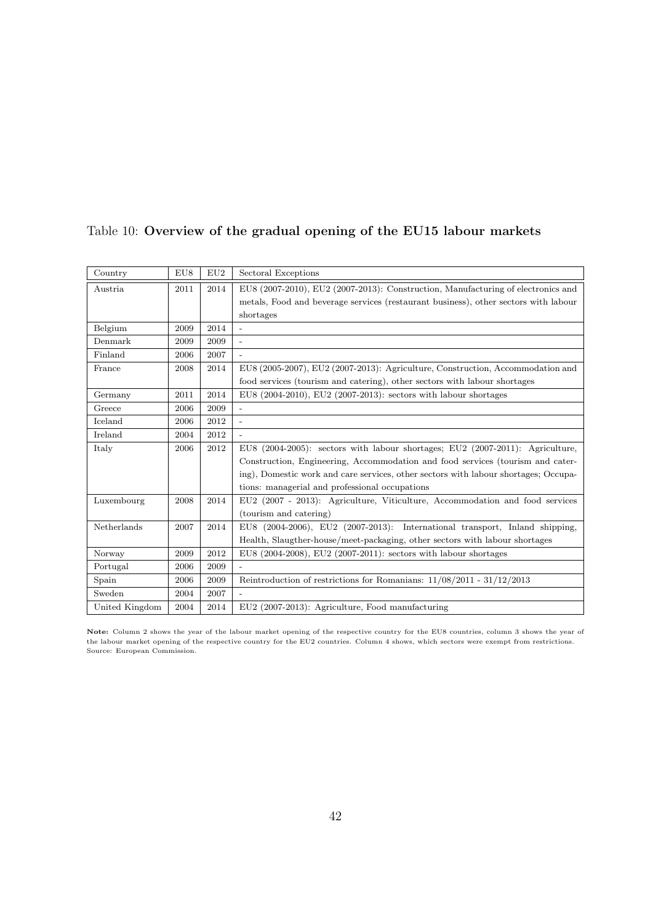| Country        | EU8  | EU2  | Sectoral Exceptions                                                                 |
|----------------|------|------|-------------------------------------------------------------------------------------|
| Austria.       | 2011 | 2014 | EU8 (2007-2010), EU2 (2007-2013): Construction, Manufacturing of electronics and    |
|                |      |      | metals, Food and beverage services (restaurant business), other sectors with labour |
|                |      |      | shortages                                                                           |
| Belgium        | 2009 | 2014 |                                                                                     |
| Denmark        | 2009 | 2009 | $\overline{\phantom{a}}$                                                            |
| Finland        | 2006 | 2007 |                                                                                     |
| France         | 2008 | 2014 | EU8 (2005-2007), EU2 (2007-2013): Agriculture, Construction, Accommodation and      |
|                |      |      | food services (tourism and catering), other sectors with labour shortages           |
| Germany        | 2011 | 2014 | EU8 (2004-2010), EU2 (2007-2013): sectors with labour shortages                     |
| Greece         | 2006 | 2009 |                                                                                     |
| Iceland        | 2006 | 2012 |                                                                                     |
| Ireland        | 2004 | 2012 | $\overline{a}$                                                                      |
| Italy          | 2006 | 2012 | EU8 $(2004-2005)$ : sectors with labour shortages; EU2 $(2007-2011)$ : Agriculture, |
|                |      |      | Construction, Engineering, Accommodation and food services (tourism and cater-      |
|                |      |      | ing), Domestic work and care services, other sectors with labour shortages; Occupa- |
|                |      |      | tions: managerial and professional occupations                                      |
| Luxembourg     | 2008 | 2014 | EU2 (2007 - 2013): Agriculture, Viticulture, Accommodation and food services        |
|                |      |      | (tourism and catering)                                                              |
| Netherlands    | 2007 | 2014 | EU8 $(2004-2006)$ , EU2 $(2007-2013)$ : International transport, Inland shipping,   |
|                |      |      | Health, Slaugther-house/meet-packaging, other sectors with labour shortages         |
| Norway         | 2009 | 2012 | EU8 (2004-2008), EU2 (2007-2011): sectors with labour shortages                     |
| Portugal       | 2006 | 2009 |                                                                                     |
| Spain          | 2006 | 2009 | Reintroduction of restrictions for Romanians: $11/08/2011 - 31/12/2013$             |
| Sweden         | 2004 | 2007 |                                                                                     |
| United Kingdom | 2004 | 2014 | EU2 (2007-2013): Agriculture, Food manufacturing                                    |

## <span id="page-41-0"></span>Table 10: Overview of the gradual opening of the EU15 labour markets

Note: Column 2 shows the year of the labour market opening of the respective country for the EU8 countries, column 3 shows the year of the labour market opening of the respective country for the EU2 countries. Column 4 shows, which sectors were exempt from restrictions. Source: European Commission.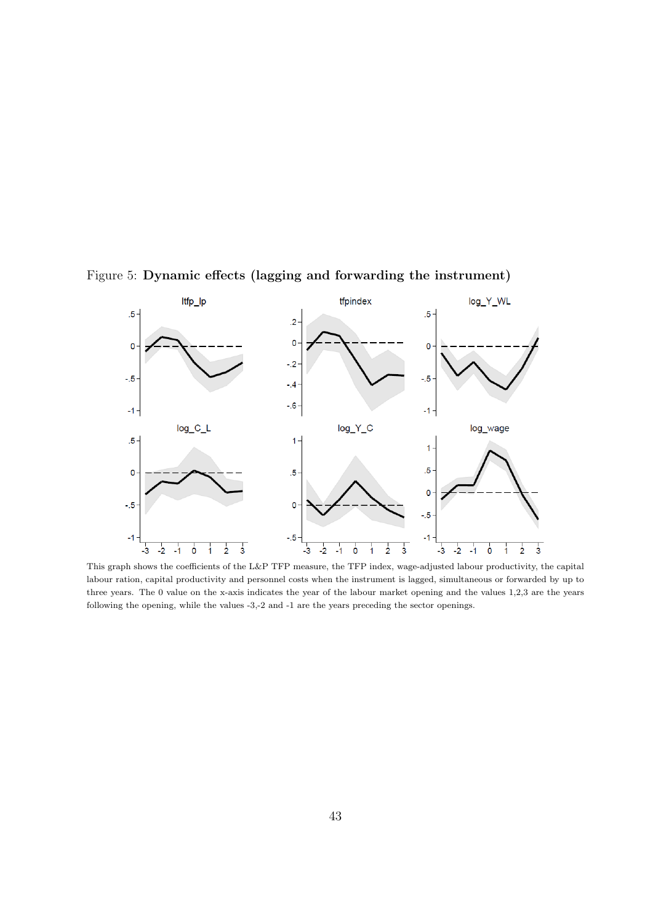

Figure 5: Dynamic effects (lagging and forwarding the instrument)

This graph shows the coefficients of the L&P TFP measure, the TFP index, wage-adjusted labour productivity, the capital labour ration, capital productivity and personnel costs when the instrument is lagged, simultaneous or forwarded by up to three years. The 0 value on the x-axis indicates the year of the labour market opening and the values 1,2,3 are the years following the opening, while the values -3,-2 and -1 are the years preceding the sector openings.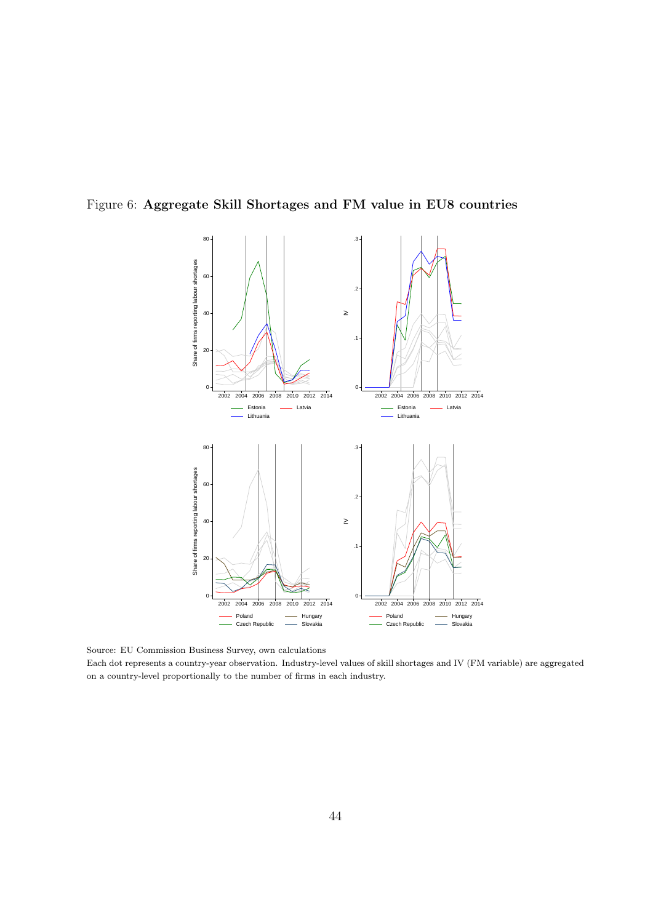

Figure 6: Aggregate Skill Shortages and FM value in EU8 countries

Source: EU Commission Business Survey, own calculations

Each dot represents a country-year observation. Industry-level values of skill shortages and IV (FM variable) are aggregated on a country-level proportionally to the number of firms in each industry.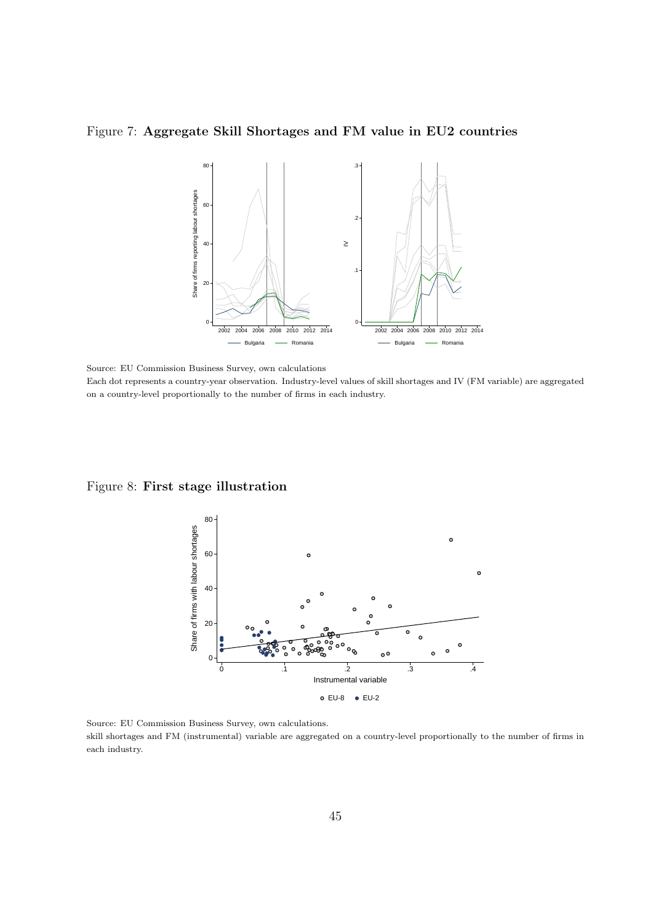Figure 7: Aggregate Skill Shortages and FM value in EU2 countries



Source: EU Commission Business Survey, own calculations Each dot represents a country-year observation. Industry-level values of skill shortages and IV (FM variable) are aggregated on a country-level proportionally to the number of firms in each industry.

#### Figure 8: First stage illustration



Source: EU Commission Business Survey, own calculations. skill shortages and FM (instrumental) variable are aggregated on a country-level proportionally to the number of firms in each industry.